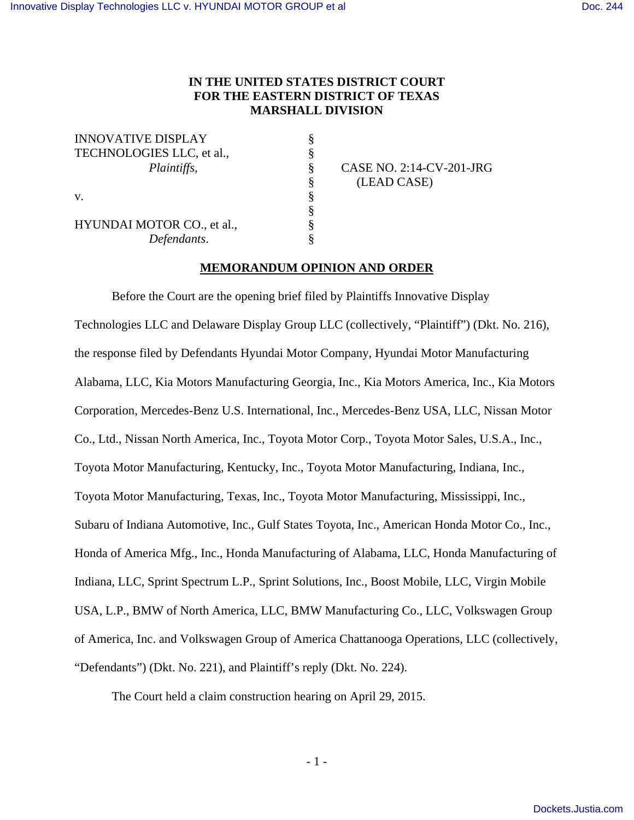# **IN THE UNITED STATES DISTRICT COURT FOR THE EASTERN DISTRICT OF TEXAS MARSHALL DIVISION**

§ § § § § § § §

INNOVATIVE DISPLAY TECHNOLOGIES LLC, et al., *Plaintiffs*, v.

HYUNDAI MOTOR CO., et al., *Defendants*.

 CASE NO. 2:14-CV-201-JRG (LEAD CASE)

# **MEMORANDUM OPINION AND ORDER**

 Before the Court are the opening brief filed by Plaintiffs Innovative Display Technologies LLC and Delaware Display Group LLC (collectively, "Plaintiff") (Dkt. No. 216), the response filed by Defendants Hyundai Motor Company, Hyundai Motor Manufacturing Alabama, LLC, Kia Motors Manufacturing Georgia, Inc., Kia Motors America, Inc., Kia Motors Corporation, Mercedes-Benz U.S. International, Inc., Mercedes-Benz USA, LLC, Nissan Motor Co., Ltd., Nissan North America, Inc., Toyota Motor Corp., Toyota Motor Sales, U.S.A., Inc., Toyota Motor Manufacturing, Kentucky, Inc., Toyota Motor Manufacturing, Indiana, Inc., Toyota Motor Manufacturing, Texas, Inc., Toyota Motor Manufacturing, Mississippi, Inc., Subaru of Indiana Automotive, Inc., Gulf States Toyota, Inc., American Honda Motor Co., Inc., Honda of America Mfg., Inc., Honda Manufacturing of Alabama, LLC, Honda Manufacturing of Indiana, LLC, Sprint Spectrum L.P., Sprint Solutions, Inc., Boost Mobile, LLC, Virgin Mobile USA, L.P., BMW of North America, LLC, BMW Manufacturing Co., LLC, Volkswagen Group of America, Inc. and Volkswagen Group of America Chattanooga Operations, LLC (collectively, "Defendants") (Dkt. No. 221), and Plaintiff's reply (Dkt. No. 224).

The Court held a claim construction hearing on April 29, 2015.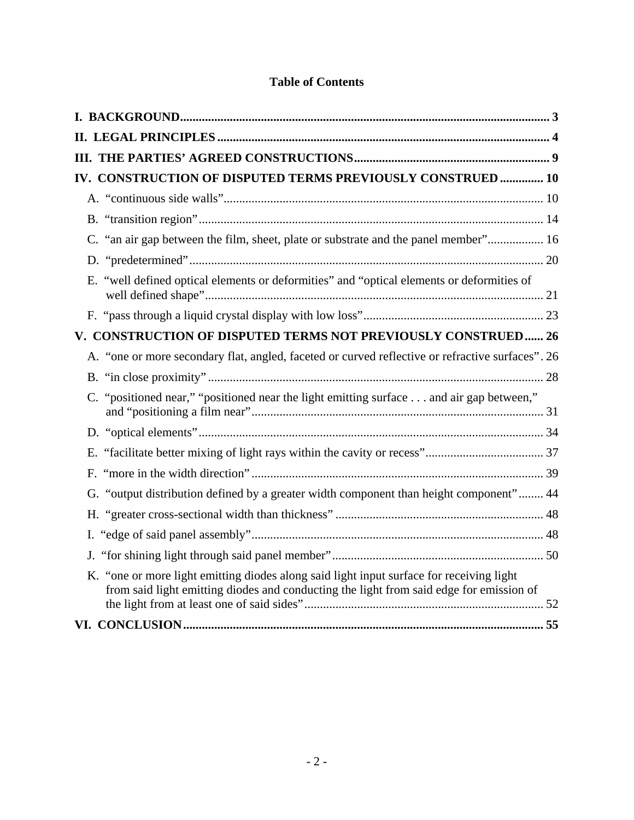| IV. CONSTRUCTION OF DISPUTED TERMS PREVIOUSLY CONSTRUED  10                                                                                                                         |  |
|-------------------------------------------------------------------------------------------------------------------------------------------------------------------------------------|--|
|                                                                                                                                                                                     |  |
|                                                                                                                                                                                     |  |
| C. "an air gap between the film, sheet, plate or substrate and the panel member" 16                                                                                                 |  |
|                                                                                                                                                                                     |  |
| E. "well defined optical elements or deformities" and "optical elements or deformities of                                                                                           |  |
|                                                                                                                                                                                     |  |
| V. CONSTRUCTION OF DISPUTED TERMS NOT PREVIOUSLY CONSTRUED 26                                                                                                                       |  |
| A. "one or more secondary flat, angled, faceted or curved reflective or refractive surfaces". 26                                                                                    |  |
|                                                                                                                                                                                     |  |
| "positioned near," "positioned near the light emitting surface  and air gap between,"                                                                                               |  |
|                                                                                                                                                                                     |  |
|                                                                                                                                                                                     |  |
|                                                                                                                                                                                     |  |
| G. "output distribution defined by a greater width component than height component" 44                                                                                              |  |
|                                                                                                                                                                                     |  |
|                                                                                                                                                                                     |  |
|                                                                                                                                                                                     |  |
| K. "one or more light emitting diodes along said light input surface for receiving light<br>from said light emitting diodes and conducting the light from said edge for emission of |  |
|                                                                                                                                                                                     |  |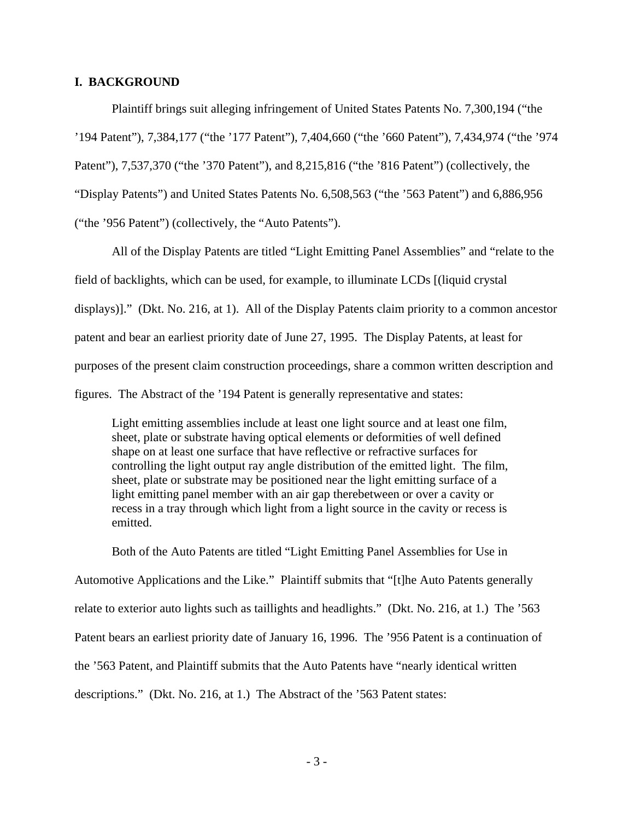### **I. BACKGROUND**

 Plaintiff brings suit alleging infringement of United States Patents No. 7,300,194 ("the '194 Patent"), 7,384,177 ("the '177 Patent"), 7,404,660 ("the '660 Patent"), 7,434,974 ("the '974 Patent"), 7,537,370 ("the '370 Patent"), and 8,215,816 ("the '816 Patent") (collectively, the "Display Patents") and United States Patents No. 6,508,563 ("the '563 Patent") and 6,886,956 ("the '956 Patent") (collectively, the "Auto Patents").

 All of the Display Patents are titled "Light Emitting Panel Assemblies" and "relate to the field of backlights, which can be used, for example, to illuminate LCDs [(liquid crystal displays)]." (Dkt. No. 216, at 1). All of the Display Patents claim priority to a common ancestor patent and bear an earliest priority date of June 27, 1995. The Display Patents, at least for purposes of the present claim construction proceedings, share a common written description and figures. The Abstract of the '194 Patent is generally representative and states:

Light emitting assemblies include at least one light source and at least one film, sheet, plate or substrate having optical elements or deformities of well defined shape on at least one surface that have reflective or refractive surfaces for controlling the light output ray angle distribution of the emitted light. The film, sheet, plate or substrate may be positioned near the light emitting surface of a light emitting panel member with an air gap therebetween or over a cavity or recess in a tray through which light from a light source in the cavity or recess is emitted.

 Both of the Auto Patents are titled "Light Emitting Panel Assemblies for Use in Automotive Applications and the Like." Plaintiff submits that "[t]he Auto Patents generally relate to exterior auto lights such as taillights and headlights." (Dkt. No. 216, at 1.) The '563 Patent bears an earliest priority date of January 16, 1996. The '956 Patent is a continuation of the '563 Patent, and Plaintiff submits that the Auto Patents have "nearly identical written descriptions." (Dkt. No. 216, at 1.) The Abstract of the '563 Patent states: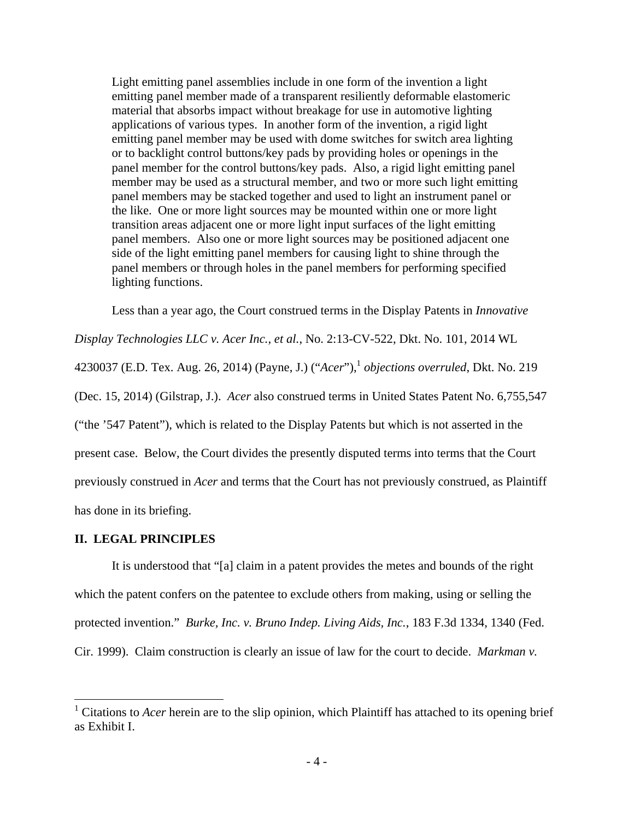Light emitting panel assemblies include in one form of the invention a light emitting panel member made of a transparent resiliently deformable elastomeric material that absorbs impact without breakage for use in automotive lighting applications of various types. In another form of the invention, a rigid light emitting panel member may be used with dome switches for switch area lighting or to backlight control buttons/key pads by providing holes or openings in the panel member for the control buttons/key pads. Also, a rigid light emitting panel member may be used as a structural member, and two or more such light emitting panel members may be stacked together and used to light an instrument panel or the like. One or more light sources may be mounted within one or more light transition areas adjacent one or more light input surfaces of the light emitting panel members. Also one or more light sources may be positioned adjacent one side of the light emitting panel members for causing light to shine through the panel members or through holes in the panel members for performing specified lighting functions.

Less than a year ago, the Court construed terms in the Display Patents in *Innovative* 

*Display Technologies LLC v. Acer Inc., et al.*, No. 2:13-CV-522, Dkt. No. 101, 2014 WL

4230037 (E.D. Tex. Aug. 26, 2014) (Payne, J.) ("*Acer*"),<sup>1</sup> *objections overruled*, Dkt. No. 219

(Dec. 15, 2014) (Gilstrap, J.). *Acer* also construed terms in United States Patent No. 6,755,547

("the '547 Patent"), which is related to the Display Patents but which is not asserted in the

present case. Below, the Court divides the presently disputed terms into terms that the Court

previously construed in *Acer* and terms that the Court has not previously construed, as Plaintiff

has done in its briefing.

 $\overline{a}$ 

#### **II. LEGAL PRINCIPLES**

 It is understood that "[a] claim in a patent provides the metes and bounds of the right which the patent confers on the patentee to exclude others from making, using or selling the protected invention." *Burke, Inc. v. Bruno Indep. Living Aids, Inc.*, 183 F.3d 1334, 1340 (Fed. Cir. 1999). Claim construction is clearly an issue of law for the court to decide. *Markman v.* 

<sup>1</sup> Citations to *Acer* herein are to the slip opinion, which Plaintiff has attached to its opening brief as Exhibit I.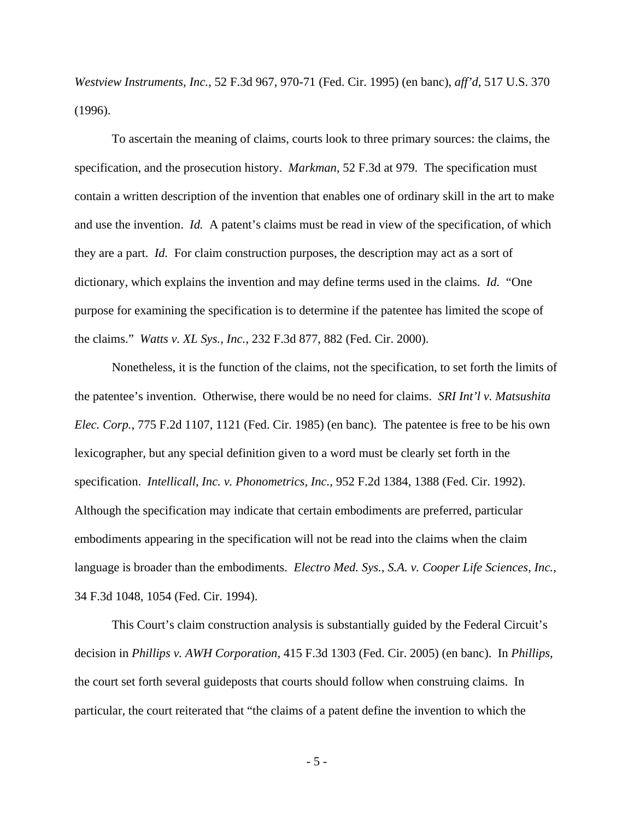*Westview Instruments, Inc.*, 52 F.3d 967, 970-71 (Fed. Cir. 1995) (en banc), *aff'd*, 517 U.S. 370 (1996).

 To ascertain the meaning of claims, courts look to three primary sources: the claims, the specification, and the prosecution history. *Markman*, 52 F.3d at 979. The specification must contain a written description of the invention that enables one of ordinary skill in the art to make and use the invention. *Id.* A patent's claims must be read in view of the specification, of which they are a part. *Id.* For claim construction purposes, the description may act as a sort of dictionary, which explains the invention and may define terms used in the claims. *Id.* "One purpose for examining the specification is to determine if the patentee has limited the scope of the claims." *Watts v. XL Sys., Inc.*, 232 F.3d 877, 882 (Fed. Cir. 2000).

 Nonetheless, it is the function of the claims, not the specification, to set forth the limits of the patentee's invention. Otherwise, there would be no need for claims. *SRI Int'l v. Matsushita Elec. Corp.*, 775 F.2d 1107, 1121 (Fed. Cir. 1985) (en banc). The patentee is free to be his own lexicographer, but any special definition given to a word must be clearly set forth in the specification. *Intellicall, Inc. v. Phonometrics, Inc.*, 952 F.2d 1384, 1388 (Fed. Cir. 1992). Although the specification may indicate that certain embodiments are preferred, particular embodiments appearing in the specification will not be read into the claims when the claim language is broader than the embodiments. *Electro Med. Sys., S.A. v. Cooper Life Sciences, Inc.*, 34 F.3d 1048, 1054 (Fed. Cir. 1994).

 This Court's claim construction analysis is substantially guided by the Federal Circuit's decision in *Phillips v. AWH Corporation*, 415 F.3d 1303 (Fed. Cir. 2005) (en banc). In *Phillips*, the court set forth several guideposts that courts should follow when construing claims. In particular, the court reiterated that "the claims of a patent define the invention to which the

- 5 -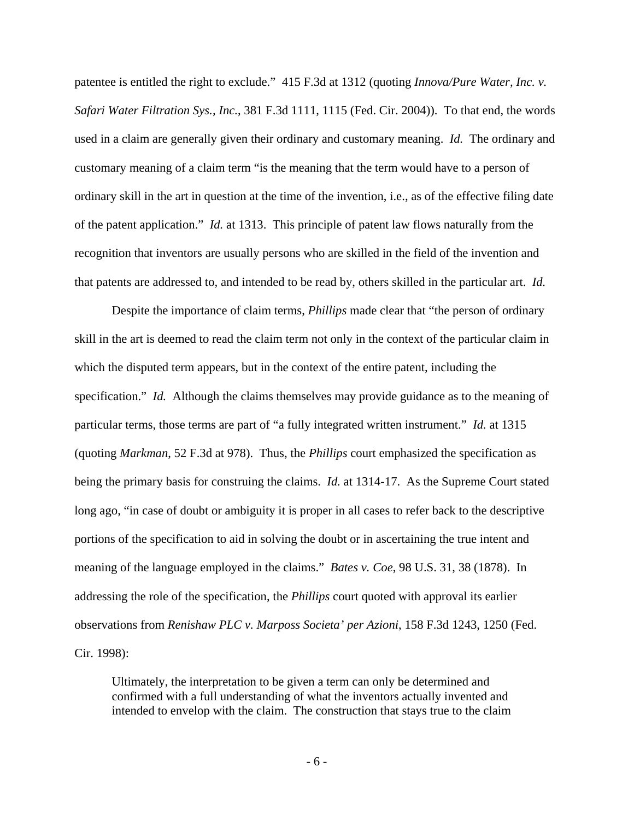patentee is entitled the right to exclude." 415 F.3d at 1312 (quoting *Innova/Pure Water, Inc. v. Safari Water Filtration Sys., Inc.*, 381 F.3d 1111, 1115 (Fed. Cir. 2004)). To that end, the words used in a claim are generally given their ordinary and customary meaning. *Id.* The ordinary and customary meaning of a claim term "is the meaning that the term would have to a person of ordinary skill in the art in question at the time of the invention, i.e., as of the effective filing date of the patent application." *Id.* at 1313. This principle of patent law flows naturally from the recognition that inventors are usually persons who are skilled in the field of the invention and that patents are addressed to, and intended to be read by, others skilled in the particular art. *Id.*

 Despite the importance of claim terms, *Phillips* made clear that "the person of ordinary skill in the art is deemed to read the claim term not only in the context of the particular claim in which the disputed term appears, but in the context of the entire patent, including the specification." *Id.* Although the claims themselves may provide guidance as to the meaning of particular terms, those terms are part of "a fully integrated written instrument." *Id.* at 1315 (quoting *Markman*, 52 F.3d at 978). Thus, the *Phillips* court emphasized the specification as being the primary basis for construing the claims. *Id.* at 1314-17. As the Supreme Court stated long ago, "in case of doubt or ambiguity it is proper in all cases to refer back to the descriptive portions of the specification to aid in solving the doubt or in ascertaining the true intent and meaning of the language employed in the claims." *Bates v. Coe*, 98 U.S. 31, 38 (1878). In addressing the role of the specification, the *Phillips* court quoted with approval its earlier observations from *Renishaw PLC v. Marposs Societa' per Azioni*, 158 F.3d 1243, 1250 (Fed. Cir. 1998):

Ultimately, the interpretation to be given a term can only be determined and confirmed with a full understanding of what the inventors actually invented and intended to envelop with the claim. The construction that stays true to the claim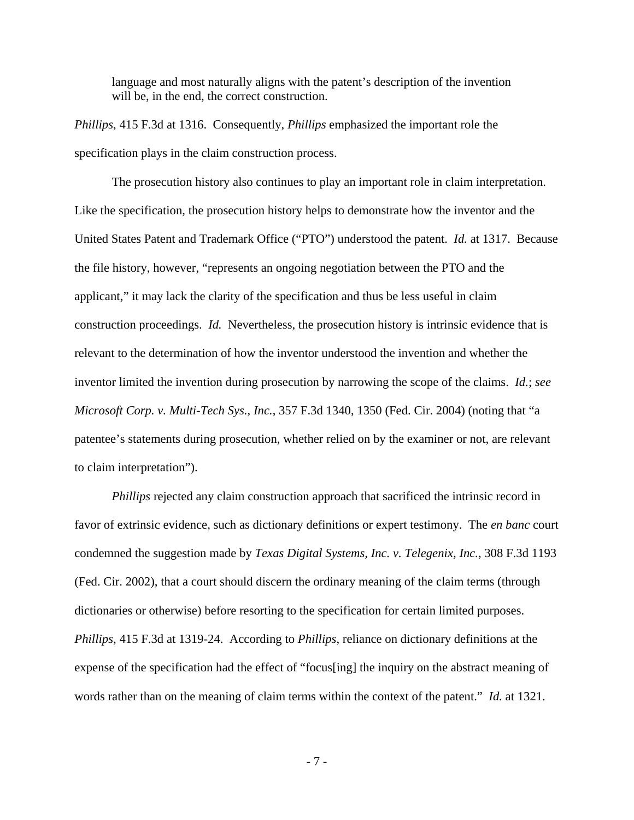language and most naturally aligns with the patent's description of the invention will be, in the end, the correct construction.

*Phillips*, 415 F.3d at 1316. Consequently, *Phillips* emphasized the important role the specification plays in the claim construction process.

 The prosecution history also continues to play an important role in claim interpretation. Like the specification, the prosecution history helps to demonstrate how the inventor and the United States Patent and Trademark Office ("PTO") understood the patent. *Id.* at 1317. Because the file history, however, "represents an ongoing negotiation between the PTO and the applicant," it may lack the clarity of the specification and thus be less useful in claim construction proceedings. *Id.* Nevertheless, the prosecution history is intrinsic evidence that is relevant to the determination of how the inventor understood the invention and whether the inventor limited the invention during prosecution by narrowing the scope of the claims. *Id.*; *see Microsoft Corp. v. Multi-Tech Sys., Inc.*, 357 F.3d 1340, 1350 (Fed. Cir. 2004) (noting that "a patentee's statements during prosecution, whether relied on by the examiner or not, are relevant to claim interpretation").

*Phillips* rejected any claim construction approach that sacrificed the intrinsic record in favor of extrinsic evidence, such as dictionary definitions or expert testimony. The *en banc* court condemned the suggestion made by *Texas Digital Systems, Inc. v. Telegenix, Inc.*, 308 F.3d 1193 (Fed. Cir. 2002), that a court should discern the ordinary meaning of the claim terms (through dictionaries or otherwise) before resorting to the specification for certain limited purposes. *Phillips*, 415 F.3d at 1319-24. According to *Phillips*, reliance on dictionary definitions at the expense of the specification had the effect of "focus[ing] the inquiry on the abstract meaning of words rather than on the meaning of claim terms within the context of the patent." *Id.* at 1321.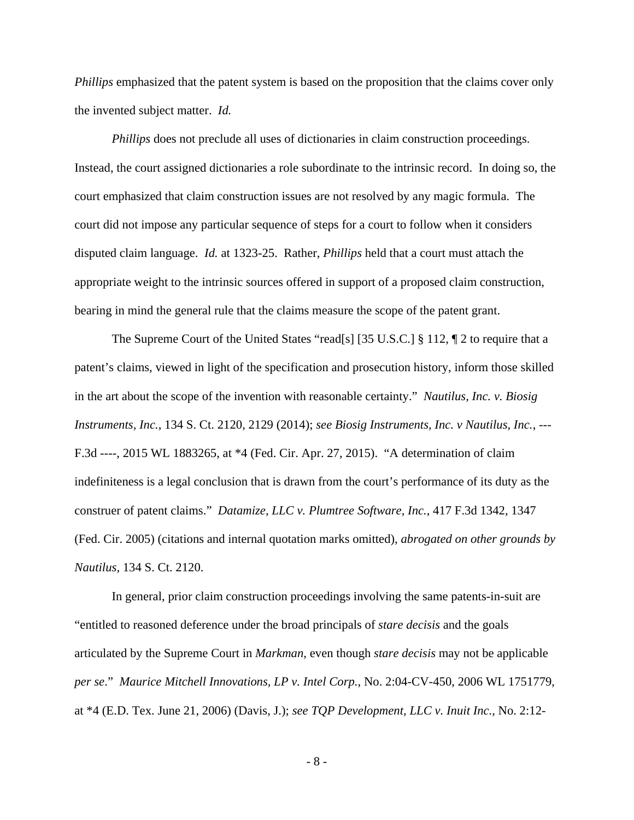*Phillips* emphasized that the patent system is based on the proposition that the claims cover only the invented subject matter. *Id.*

*Phillips* does not preclude all uses of dictionaries in claim construction proceedings. Instead, the court assigned dictionaries a role subordinate to the intrinsic record. In doing so, the court emphasized that claim construction issues are not resolved by any magic formula. The court did not impose any particular sequence of steps for a court to follow when it considers disputed claim language. *Id.* at 1323-25. Rather, *Phillips* held that a court must attach the appropriate weight to the intrinsic sources offered in support of a proposed claim construction, bearing in mind the general rule that the claims measure the scope of the patent grant.

 The Supreme Court of the United States "read[s] [35 U.S.C.] § 112, ¶ 2 to require that a patent's claims, viewed in light of the specification and prosecution history, inform those skilled in the art about the scope of the invention with reasonable certainty." *Nautilus, Inc. v. Biosig Instruments, Inc.*, 134 S. Ct. 2120, 2129 (2014); *see Biosig Instruments, Inc. v Nautilus, Inc.*, --- F.3d ----, 2015 WL 1883265, at \*4 (Fed. Cir. Apr. 27, 2015). "A determination of claim indefiniteness is a legal conclusion that is drawn from the court's performance of its duty as the construer of patent claims." *Datamize, LLC v. Plumtree Software, Inc.*, 417 F.3d 1342, 1347 (Fed. Cir. 2005) (citations and internal quotation marks omitted), *abrogated on other grounds by Nautilus,* 134 S. Ct. 2120.

 In general, prior claim construction proceedings involving the same patents-in-suit are "entitled to reasoned deference under the broad principals of *stare decisis* and the goals articulated by the Supreme Court in *Markman*, even though *stare decisis* may not be applicable *per se*." *Maurice Mitchell Innovations, LP v. Intel Corp.*, No. 2:04-CV-450, 2006 WL 1751779, at \*4 (E.D. Tex. June 21, 2006) (Davis, J.); *see TQP Development, LLC v. Inuit Inc.*, No. 2:12-

- 8 -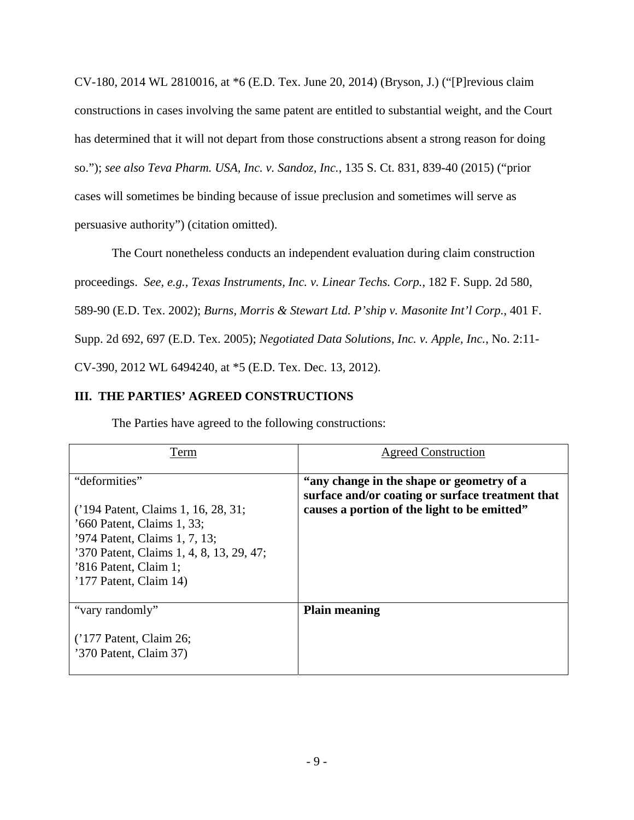CV-180, 2014 WL 2810016, at \*6 (E.D. Tex. June 20, 2014) (Bryson, J.) ("[P]revious claim constructions in cases involving the same patent are entitled to substantial weight, and the Court has determined that it will not depart from those constructions absent a strong reason for doing so."); *see also Teva Pharm. USA, Inc. v. Sandoz, Inc.*, 135 S. Ct. 831, 839-40 (2015) ("prior cases will sometimes be binding because of issue preclusion and sometimes will serve as persuasive authority") (citation omitted).

 The Court nonetheless conducts an independent evaluation during claim construction proceedings. *See, e.g., Texas Instruments, Inc. v. Linear Techs. Corp.*, 182 F. Supp. 2d 580, 589-90 (E.D. Tex. 2002); *Burns, Morris & Stewart Ltd. P'ship v. Masonite Int'l Corp.*, 401 F. Supp. 2d 692, 697 (E.D. Tex. 2005); *Negotiated Data Solutions, Inc. v. Apple, Inc.*, No. 2:11- CV-390, 2012 WL 6494240, at \*5 (E.D. Tex. Dec. 13, 2012).

# **III. THE PARTIES' AGREED CONSTRUCTIONS**

| The Parties have agreed to the following constructions: |  |  |  |
|---------------------------------------------------------|--|--|--|
|                                                         |  |  |  |

| Term                                                                                                                                                                                                                 | <b>Agreed Construction</b>                                                                                                                    |
|----------------------------------------------------------------------------------------------------------------------------------------------------------------------------------------------------------------------|-----------------------------------------------------------------------------------------------------------------------------------------------|
| "deformities"<br>('194 Patent, Claims 1, 16, 28, 31;<br>'660 Patent, Claims 1, 33;<br>'974 Patent, Claims 1, 7, 13;<br>'370 Patent, Claims 1, 4, 8, 13, 29, 47;<br>'816 Patent, Claim 1;<br>$'177$ Patent, Claim 14) | "any change in the shape or geometry of a<br>surface and/or coating or surface treatment that<br>causes a portion of the light to be emitted" |
| "vary randomly"<br>$(177$ Patent, Claim 26;<br>'370 Patent, Claim 37)                                                                                                                                                | <b>Plain meaning</b>                                                                                                                          |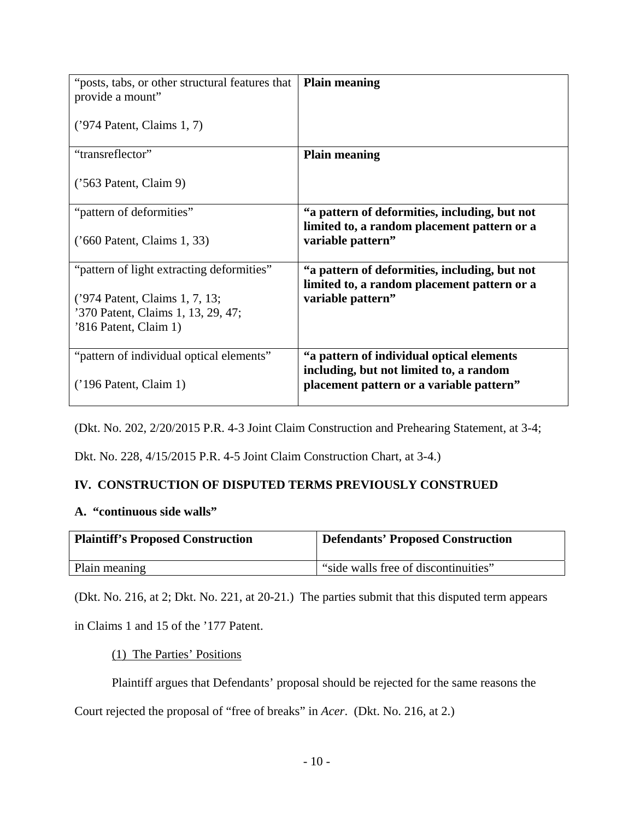| "posts, tabs, or other structural features that<br>provide a mount"  | <b>Plain meaning</b>                                                                         |
|----------------------------------------------------------------------|----------------------------------------------------------------------------------------------|
| $('974$ Patent, Claims 1, 7)                                         |                                                                                              |
| "transreflector"                                                     | <b>Plain meaning</b>                                                                         |
| $('563$ Patent, Claim 9)                                             |                                                                                              |
| "pattern of deformities"                                             | "a pattern of deformities, including, but not<br>limited to, a random placement pattern or a |
| ('660 Patent, Claims 1, 33)                                          | variable pattern"                                                                            |
| "pattern of light extracting deformities"                            | "a pattern of deformities, including, but not<br>limited to, a random placement pattern or a |
| ('974 Patent, Claims 1, 7, 13;<br>'370 Patent, Claims 1, 13, 29, 47; | variable pattern"                                                                            |
| '816 Patent, Claim 1)                                                |                                                                                              |
| "pattern of individual optical elements"                             | "a pattern of individual optical elements"<br>including, but not limited to, a random        |
| $('196$ Patent, Claim 1)                                             | placement pattern or a variable pattern"                                                     |

(Dkt. No. 202, 2/20/2015 P.R. 4-3 Joint Claim Construction and Prehearing Statement, at 3-4;

Dkt. No. 228, 4/15/2015 P.R. 4-5 Joint Claim Construction Chart, at 3-4.)

# **IV. CONSTRUCTION OF DISPUTED TERMS PREVIOUSLY CONSTRUED**

## **A. "continuous side walls"**

| <b>Plaintiff's Proposed Construction</b> | <b>Defendants' Proposed Construction</b> |
|------------------------------------------|------------------------------------------|
| Plain meaning                            | "side walls free of discontinuities"     |

(Dkt. No. 216, at 2; Dkt. No. 221, at 20-21.) The parties submit that this disputed term appears

in Claims 1 and 15 of the '177 Patent.

## (1) The Parties' Positions

Plaintiff argues that Defendants' proposal should be rejected for the same reasons the

Court rejected the proposal of "free of breaks" in *Acer*. (Dkt. No. 216, at 2.)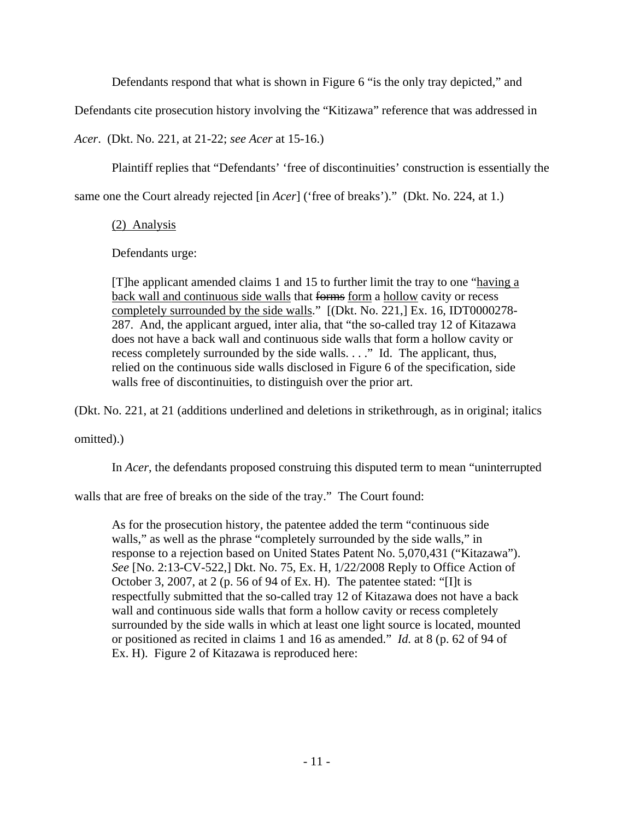Defendants respond that what is shown in Figure 6 "is the only tray depicted," and

Defendants cite prosecution history involving the "Kitizawa" reference that was addressed in

*Acer*. (Dkt. No. 221, at 21-22; *see Acer* at 15-16.)

Plaintiff replies that "Defendants' 'free of discontinuities' construction is essentially the

same one the Court already rejected [in *Acer*] ('free of breaks')." (Dkt. No. 224, at 1.)

(2) Analysis

Defendants urge:

[T]he applicant amended claims 1 and 15 to further limit the tray to one "having a back wall and continuous side walls that forms form a hollow cavity or recess completely surrounded by the side walls." [(Dkt. No. 221,] Ex. 16, IDT0000278- 287. And, the applicant argued, inter alia, that "the so-called tray 12 of Kitazawa does not have a back wall and continuous side walls that form a hollow cavity or recess completely surrounded by the side walls. . . ." Id. The applicant, thus, relied on the continuous side walls disclosed in Figure 6 of the specification, side walls free of discontinuities, to distinguish over the prior art.

(Dkt. No. 221, at 21 (additions underlined and deletions in strikethrough, as in original; italics

omitted).)

In *Acer*, the defendants proposed construing this disputed term to mean "uninterrupted

walls that are free of breaks on the side of the tray." The Court found:

As for the prosecution history, the patentee added the term "continuous side walls," as well as the phrase "completely surrounded by the side walls," in response to a rejection based on United States Patent No. 5,070,431 ("Kitazawa"). *See* [No. 2:13-CV-522,] Dkt. No. 75, Ex. H, 1/22/2008 Reply to Office Action of October 3, 2007, at 2 (p. 56 of 94 of Ex. H). The patentee stated: "[I]t is respectfully submitted that the so-called tray 12 of Kitazawa does not have a back wall and continuous side walls that form a hollow cavity or recess completely surrounded by the side walls in which at least one light source is located, mounted or positioned as recited in claims 1 and 16 as amended." *Id.* at 8 (p. 62 of 94 of Ex. H). Figure 2 of Kitazawa is reproduced here: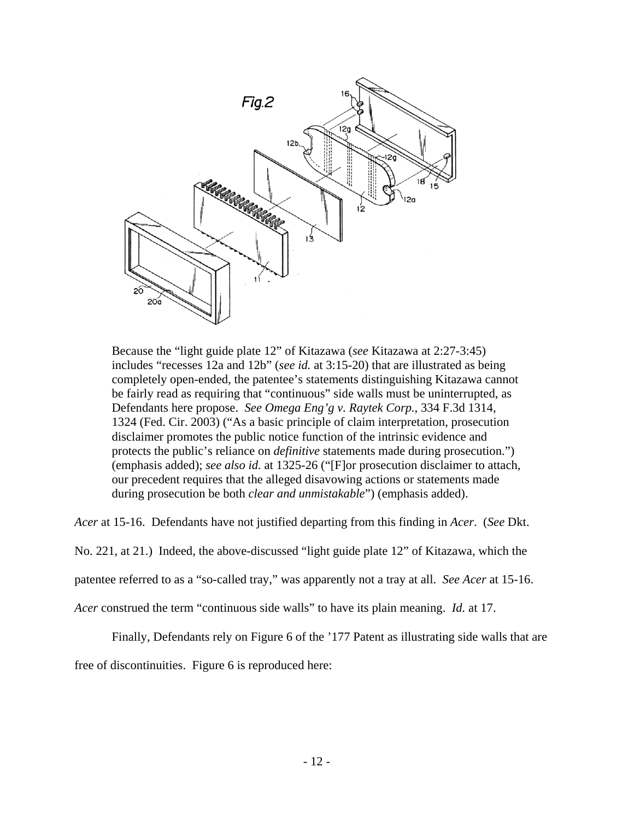

Because the "light guide plate 12" of Kitazawa (*see* Kitazawa at 2:27-3:45) includes "recesses 12a and 12b" (*see id.* at 3:15-20) that are illustrated as being completely open-ended, the patentee's statements distinguishing Kitazawa cannot be fairly read as requiring that "continuous" side walls must be uninterrupted, as Defendants here propose. *See Omega Eng'g v. Raytek Corp.*, 334 F.3d 1314, 1324 (Fed. Cir. 2003) ("As a basic principle of claim interpretation, prosecution disclaimer promotes the public notice function of the intrinsic evidence and protects the public's reliance on *definitive* statements made during prosecution.") (emphasis added); *see also id.* at 1325-26 ("[F]or prosecution disclaimer to attach, our precedent requires that the alleged disavowing actions or statements made during prosecution be both *clear and unmistakable*") (emphasis added).

*Acer* at 15-16. Defendants have not justified departing from this finding in *Acer*. (*See* Dkt.

No. 221, at 21.) Indeed, the above-discussed "light guide plate 12" of Kitazawa, which the

patentee referred to as a "so-called tray," was apparently not a tray at all. *See Acer* at 15-16.

*Acer* construed the term "continuous side walls" to have its plain meaning. *Id.* at 17.

Finally, Defendants rely on Figure 6 of the '177 Patent as illustrating side walls that are

free of discontinuities. Figure 6 is reproduced here: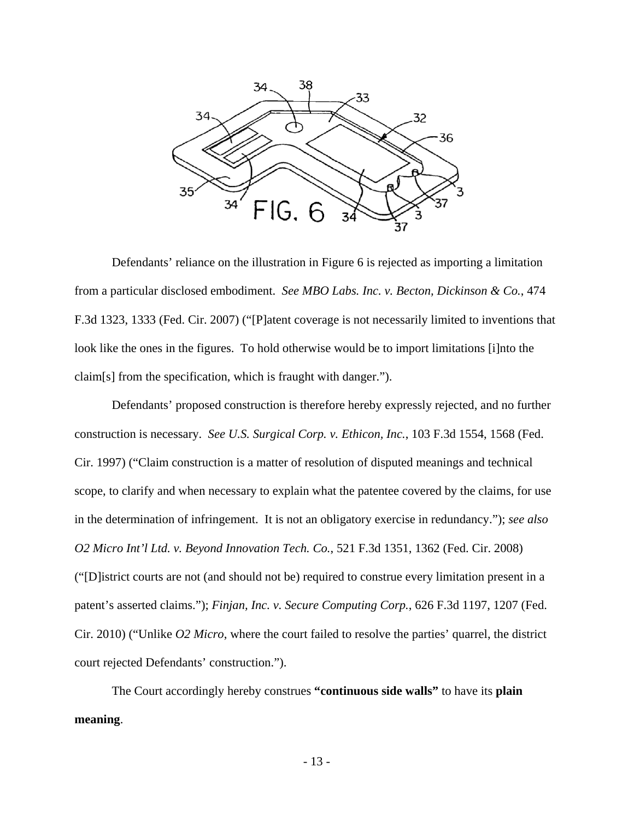

 Defendants' reliance on the illustration in Figure 6 is rejected as importing a limitation from a particular disclosed embodiment. *See MBO Labs. Inc. v. Becton, Dickinson & Co.*, 474 F.3d 1323, 1333 (Fed. Cir. 2007) ("[P]atent coverage is not necessarily limited to inventions that look like the ones in the figures. To hold otherwise would be to import limitations [i]nto the claim[s] from the specification, which is fraught with danger.").

 Defendants' proposed construction is therefore hereby expressly rejected, and no further construction is necessary. *See U.S. Surgical Corp. v. Ethicon, Inc.*, 103 F.3d 1554, 1568 (Fed. Cir. 1997) ("Claim construction is a matter of resolution of disputed meanings and technical scope, to clarify and when necessary to explain what the patentee covered by the claims, for use in the determination of infringement. It is not an obligatory exercise in redundancy."); *see also O2 Micro Int'l Ltd. v. Beyond Innovation Tech. Co.*, 521 F.3d 1351, 1362 (Fed. Cir. 2008) ("[D]istrict courts are not (and should not be) required to construe every limitation present in a patent's asserted claims."); *Finjan, Inc. v. Secure Computing Corp.*, 626 F.3d 1197, 1207 (Fed. Cir. 2010) ("Unlike *O2 Micro*, where the court failed to resolve the parties' quarrel, the district court rejected Defendants' construction.").

 The Court accordingly hereby construes **"continuous side walls"** to have its **plain meaning**.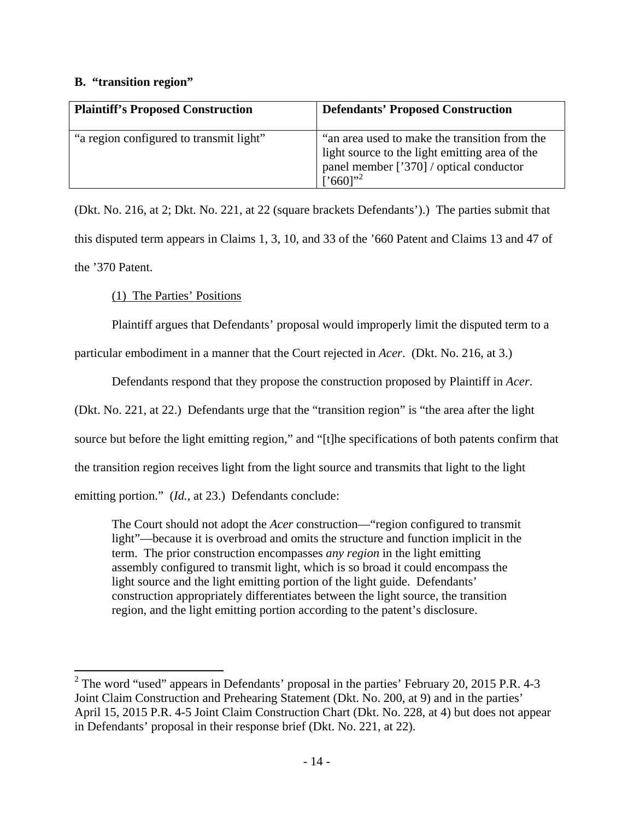# **B. "transition region"**

| <b>Plaintiff's Proposed Construction</b> | <b>Defendants' Proposed Construction</b>                                                                                                                                   |
|------------------------------------------|----------------------------------------------------------------------------------------------------------------------------------------------------------------------------|
| "a region configured to transmit light"  | "an area used to make the transition from the<br>light source to the light emitting area of the<br>panel member ['370] / optical conductor<br>$\left[$ '660]' <sup>2</sup> |

(Dkt. No. 216, at 2; Dkt. No. 221, at 22 (square brackets Defendants').) The parties submit that this disputed term appears in Claims 1, 3, 10, and 33 of the '660 Patent and Claims 13 and 47 of the '370 Patent.

(1) The Parties' Positions

Plaintiff argues that Defendants' proposal would improperly limit the disputed term to a

particular embodiment in a manner that the Court rejected in *Acer*. (Dkt. No. 216, at 3.)

Defendants respond that they propose the construction proposed by Plaintiff in *Acer*.

(Dkt. No. 221, at 22.) Defendants urge that the "transition region" is "the area after the light

source but before the light emitting region," and "[t]he specifications of both patents confirm that

the transition region receives light from the light source and transmits that light to the light

emitting portion." (*Id.*, at 23.) Defendants conclude:

The Court should not adopt the *Acer* construction—"region configured to transmit light"—because it is overbroad and omits the structure and function implicit in the term. The prior construction encompasses *any region* in the light emitting assembly configured to transmit light, which is so broad it could encompass the light source and the light emitting portion of the light guide. Defendants' construction appropriately differentiates between the light source, the transition region, and the light emitting portion according to the patent's disclosure.

<sup>&</sup>lt;sup>2</sup> The word "used" appears in Defendants' proposal in the parties' February 20, 2015 P.R. 4-3 Joint Claim Construction and Prehearing Statement (Dkt. No. 200, at 9) and in the parties' April 15, 2015 P.R. 4-5 Joint Claim Construction Chart (Dkt. No. 228, at 4) but does not appear in Defendants' proposal in their response brief (Dkt. No. 221, at 22).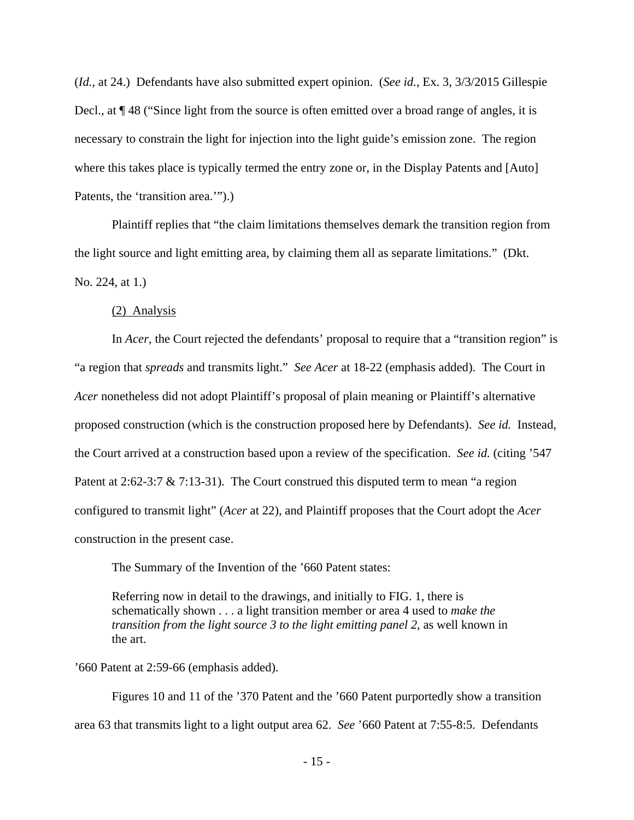(*Id.*, at 24.) Defendants have also submitted expert opinion. (*See id.*, Ex. 3, 3/3/2015 Gillespie Decl., at  $\P$  48 ("Since light from the source is often emitted over a broad range of angles, it is necessary to constrain the light for injection into the light guide's emission zone. The region where this takes place is typically termed the entry zone or, in the Display Patents and [Auto] Patents, the 'transition area.'").

 Plaintiff replies that "the claim limitations themselves demark the transition region from the light source and light emitting area, by claiming them all as separate limitations." (Dkt. No. 224, at 1.)

#### (2) Analysis

 In *Acer*, the Court rejected the defendants' proposal to require that a "transition region" is "a region that *spreads* and transmits light." *See Acer* at 18-22 (emphasis added). The Court in *Acer* nonetheless did not adopt Plaintiff's proposal of plain meaning or Plaintiff's alternative proposed construction (which is the construction proposed here by Defendants). *See id.* Instead, the Court arrived at a construction based upon a review of the specification. *See id.* (citing '547 Patent at 2:62-3:7 & 7:13-31). The Court construed this disputed term to mean "a region configured to transmit light" (*Acer* at 22), and Plaintiff proposes that the Court adopt the *Acer* construction in the present case.

The Summary of the Invention of the '660 Patent states:

Referring now in detail to the drawings, and initially to FIG. 1, there is schematically shown . . . a light transition member or area 4 used to *make the transition from the light source 3 to the light emitting panel 2*, as well known in the art.

'660 Patent at 2:59-66 (emphasis added).

 Figures 10 and 11 of the '370 Patent and the '660 Patent purportedly show a transition area 63 that transmits light to a light output area 62. *See* '660 Patent at 7:55-8:5. Defendants

- 15 -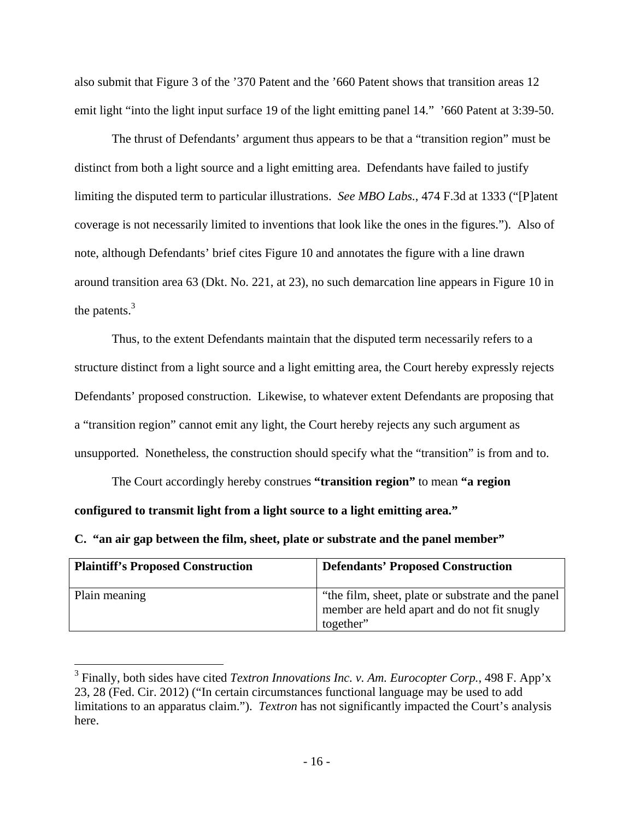also submit that Figure 3 of the '370 Patent and the '660 Patent shows that transition areas 12 emit light "into the light input surface 19 of the light emitting panel 14." '660 Patent at 3:39-50.

 The thrust of Defendants' argument thus appears to be that a "transition region" must be distinct from both a light source and a light emitting area. Defendants have failed to justify limiting the disputed term to particular illustrations. *See MBO Labs.*, 474 F.3d at 1333 ("[P]atent coverage is not necessarily limited to inventions that look like the ones in the figures."). Also of note, although Defendants' brief cites Figure 10 and annotates the figure with a line drawn around transition area 63 (Dkt. No. 221, at 23), no such demarcation line appears in Figure 10 in the patents. $3$ 

 Thus, to the extent Defendants maintain that the disputed term necessarily refers to a structure distinct from a light source and a light emitting area, the Court hereby expressly rejects Defendants' proposed construction. Likewise, to whatever extent Defendants are proposing that a "transition region" cannot emit any light, the Court hereby rejects any such argument as unsupported. Nonetheless, the construction should specify what the "transition" is from and to.

 The Court accordingly hereby construes **"transition region"** to mean **"a region configured to transmit light from a light source to a light emitting area."**

**C. "an air gap between the film, sheet, plate or substrate and the panel member"** 

 $\overline{a}$ 

| <b>Plaintiff's Proposed Construction</b> | <b>Defendants' Proposed Construction</b>                                                                        |
|------------------------------------------|-----------------------------------------------------------------------------------------------------------------|
| Plain meaning                            | "the film, sheet, plate or substrate and the panel"<br>member are held apart and do not fit snugly<br>together" |

<sup>3</sup> Finally, both sides have cited *Textron Innovations Inc. v. Am. Eurocopter Corp.*, 498 F. App'x 23, 28 (Fed. Cir. 2012) ("In certain circumstances functional language may be used to add limitations to an apparatus claim."). *Textron* has not significantly impacted the Court's analysis here.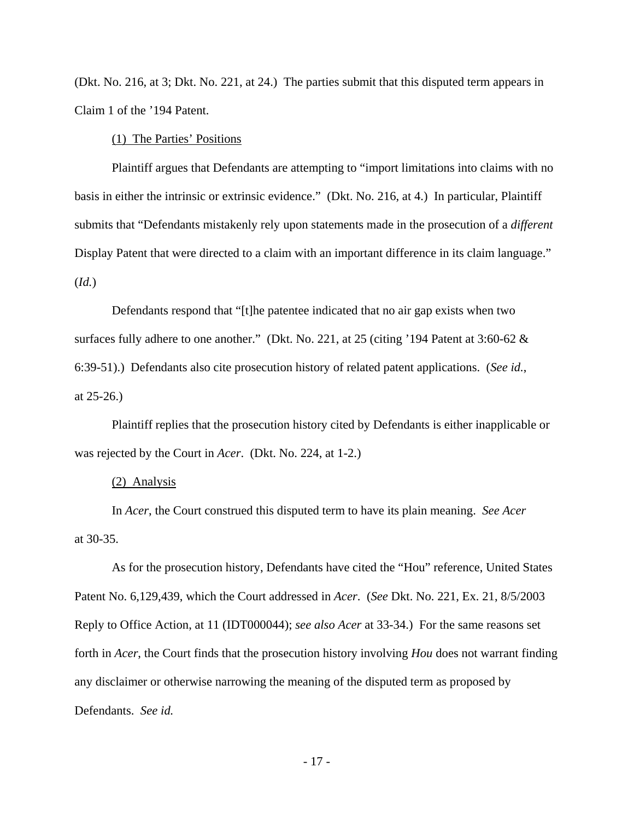(Dkt. No. 216, at 3; Dkt. No. 221, at 24.) The parties submit that this disputed term appears in Claim 1 of the '194 Patent.

(1) The Parties' Positions

 Plaintiff argues that Defendants are attempting to "import limitations into claims with no basis in either the intrinsic or extrinsic evidence." (Dkt. No. 216, at 4.) In particular, Plaintiff submits that "Defendants mistakenly rely upon statements made in the prosecution of a *different* Display Patent that were directed to a claim with an important difference in its claim language." (*Id.*)

 Defendants respond that "[t]he patentee indicated that no air gap exists when two surfaces fully adhere to one another." (Dkt. No. 221, at 25 (citing '194 Patent at 3:60-62  $\&$ 6:39-51).) Defendants also cite prosecution history of related patent applications. (*See id.*, at 25-26.)

 Plaintiff replies that the prosecution history cited by Defendants is either inapplicable or was rejected by the Court in *Acer*. (Dkt. No. 224, at 1-2.)

#### (2) Analysis

 In *Acer*, the Court construed this disputed term to have its plain meaning. *See Acer* at 30-35.

 As for the prosecution history, Defendants have cited the "Hou" reference, United States Patent No. 6,129,439, which the Court addressed in *Acer*. (*See* Dkt. No. 221, Ex. 21, 8/5/2003 Reply to Office Action, at 11 (IDT000044); *see also Acer* at 33-34.) For the same reasons set forth in *Acer*, the Court finds that the prosecution history involving *Hou* does not warrant finding any disclaimer or otherwise narrowing the meaning of the disputed term as proposed by Defendants. *See id.*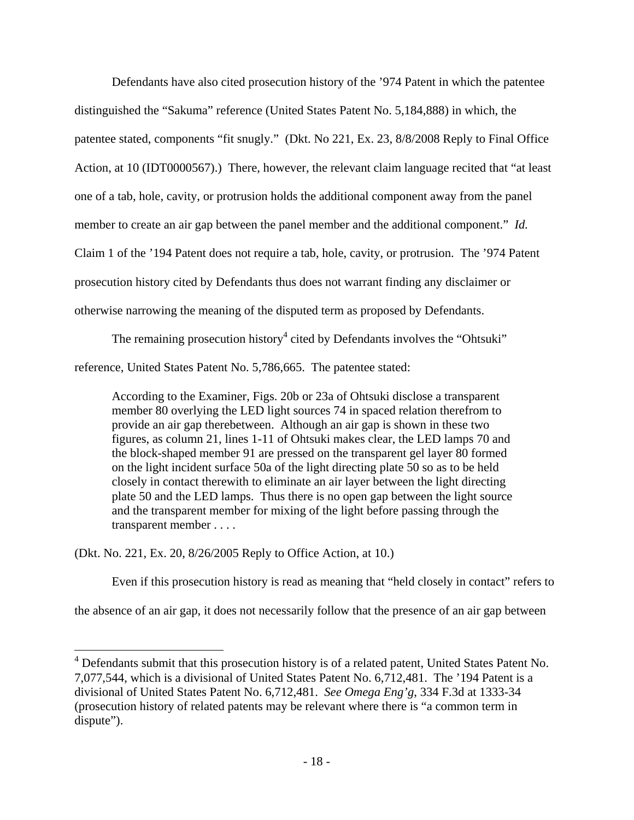Defendants have also cited prosecution history of the '974 Patent in which the patentee distinguished the "Sakuma" reference (United States Patent No. 5,184,888) in which, the patentee stated, components "fit snugly." (Dkt. No 221, Ex. 23, 8/8/2008 Reply to Final Office Action, at 10 (IDT0000567).) There, however, the relevant claim language recited that "at least one of a tab, hole, cavity, or protrusion holds the additional component away from the panel member to create an air gap between the panel member and the additional component." *Id.* Claim 1 of the '194 Patent does not require a tab, hole, cavity, or protrusion. The '974 Patent prosecution history cited by Defendants thus does not warrant finding any disclaimer or otherwise narrowing the meaning of the disputed term as proposed by Defendants.

The remaining prosecution history<sup>4</sup> cited by Defendants involves the "Ohtsuki" reference, United States Patent No. 5,786,665. The patentee stated:

According to the Examiner, Figs. 20b or 23a of Ohtsuki disclose a transparent member 80 overlying the LED light sources 74 in spaced relation therefrom to provide an air gap therebetween. Although an air gap is shown in these two figures, as column 21, lines 1-11 of Ohtsuki makes clear, the LED lamps 70 and the block-shaped member 91 are pressed on the transparent gel layer 80 formed on the light incident surface 50a of the light directing plate 50 so as to be held closely in contact therewith to eliminate an air layer between the light directing plate 50 and the LED lamps. Thus there is no open gap between the light source and the transparent member for mixing of the light before passing through the transparent member . . . .

(Dkt. No. 221, Ex. 20, 8/26/2005 Reply to Office Action, at 10.)

Even if this prosecution history is read as meaning that "held closely in contact" refers to

the absence of an air gap, it does not necessarily follow that the presence of an air gap between

<sup>4&</sup>lt;br><sup>4</sup> Defendants submit that this prosecution history is of a related patent, United States Patent No. 7,077,544, which is a divisional of United States Patent No. 6,712,481. The '194 Patent is a divisional of United States Patent No. 6,712,481. *See Omega Eng'g*, 334 F.3d at 1333-34 (prosecution history of related patents may be relevant where there is "a common term in dispute").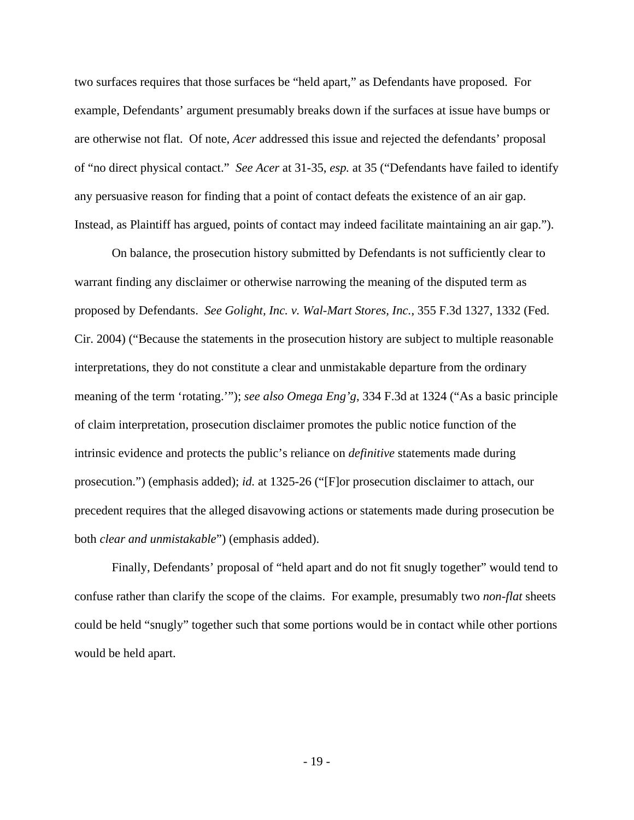two surfaces requires that those surfaces be "held apart," as Defendants have proposed. For example, Defendants' argument presumably breaks down if the surfaces at issue have bumps or are otherwise not flat. Of note, *Acer* addressed this issue and rejected the defendants' proposal of "no direct physical contact." *See Acer* at 31-35, *esp.* at 35 ("Defendants have failed to identify any persuasive reason for finding that a point of contact defeats the existence of an air gap. Instead, as Plaintiff has argued, points of contact may indeed facilitate maintaining an air gap.").

 On balance, the prosecution history submitted by Defendants is not sufficiently clear to warrant finding any disclaimer or otherwise narrowing the meaning of the disputed term as proposed by Defendants. *See Golight, Inc. v. Wal-Mart Stores, Inc.*, 355 F.3d 1327, 1332 (Fed. Cir. 2004) ("Because the statements in the prosecution history are subject to multiple reasonable interpretations, they do not constitute a clear and unmistakable departure from the ordinary meaning of the term 'rotating.'"); *see also Omega Eng'g*, 334 F.3d at 1324 ("As a basic principle of claim interpretation, prosecution disclaimer promotes the public notice function of the intrinsic evidence and protects the public's reliance on *definitive* statements made during prosecution.") (emphasis added); *id.* at 1325-26 ("[F]or prosecution disclaimer to attach, our precedent requires that the alleged disavowing actions or statements made during prosecution be both *clear and unmistakable*") (emphasis added).

 Finally, Defendants' proposal of "held apart and do not fit snugly together" would tend to confuse rather than clarify the scope of the claims. For example, presumably two *non-flat* sheets could be held "snugly" together such that some portions would be in contact while other portions would be held apart.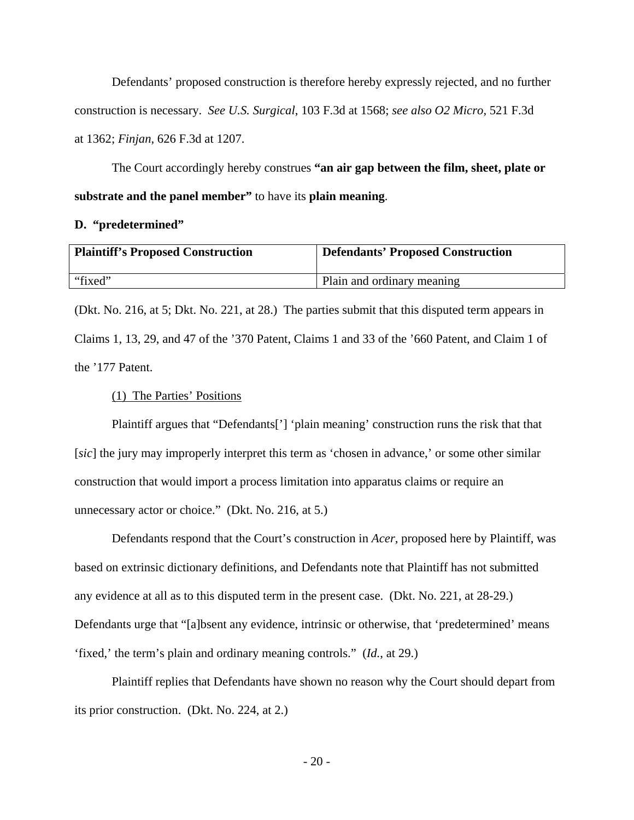Defendants' proposed construction is therefore hereby expressly rejected, and no further construction is necessary. *See U.S. Surgical*, 103 F.3d at 1568; *see also O2 Micro*, 521 F.3d at 1362; *Finjan*, 626 F.3d at 1207.

 The Court accordingly hereby construes **"an air gap between the film, sheet, plate or substrate and the panel member"** to have its **plain meaning**.

### **D. "predetermined"**

| <b>Plaintiff's Proposed Construction</b> | Defendants' Proposed Construction |
|------------------------------------------|-----------------------------------|
| "fixed"                                  | Plain and ordinary meaning        |

(Dkt. No. 216, at 5; Dkt. No. 221, at 28.) The parties submit that this disputed term appears in Claims 1, 13, 29, and 47 of the '370 Patent, Claims 1 and 33 of the '660 Patent, and Claim 1 of the '177 Patent.

# (1) The Parties' Positions

 Plaintiff argues that "Defendants['] 'plain meaning' construction runs the risk that that [*sic*] the jury may improperly interpret this term as 'chosen in advance,' or some other similar construction that would import a process limitation into apparatus claims or require an unnecessary actor or choice." (Dkt. No. 216, at 5.)

 Defendants respond that the Court's construction in *Acer*, proposed here by Plaintiff, was based on extrinsic dictionary definitions, and Defendants note that Plaintiff has not submitted any evidence at all as to this disputed term in the present case. (Dkt. No. 221, at 28-29.) Defendants urge that "[a]bsent any evidence, intrinsic or otherwise, that 'predetermined' means 'fixed,' the term's plain and ordinary meaning controls." (*Id.*, at 29.)

 Plaintiff replies that Defendants have shown no reason why the Court should depart from its prior construction. (Dkt. No. 224, at 2.)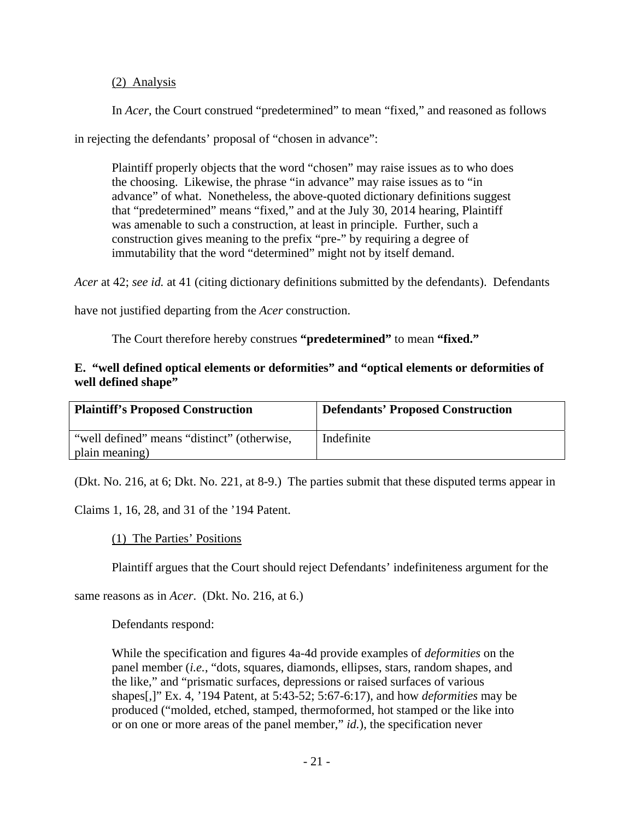# (2) Analysis

In *Acer*, the Court construed "predetermined" to mean "fixed," and reasoned as follows

in rejecting the defendants' proposal of "chosen in advance":

Plaintiff properly objects that the word "chosen" may raise issues as to who does the choosing. Likewise, the phrase "in advance" may raise issues as to "in advance" of what. Nonetheless, the above-quoted dictionary definitions suggest that "predetermined" means "fixed," and at the July 30, 2014 hearing, Plaintiff was amenable to such a construction, at least in principle. Further, such a construction gives meaning to the prefix "pre-" by requiring a degree of immutability that the word "determined" might not by itself demand.

*Acer* at 42; *see id.* at 41 (citing dictionary definitions submitted by the defendants). Defendants

have not justified departing from the *Acer* construction.

The Court therefore hereby construes **"predetermined"** to mean **"fixed."**

## **E. "well defined optical elements or deformities" and "optical elements or deformities of well defined shape"**

| <b>Plaintiff's Proposed Construction</b>    | <b>Defendants' Proposed Construction</b> |
|---------------------------------------------|------------------------------------------|
| "well defined" means "distinct" (otherwise, | Indefinite                               |
| plain meaning)                              |                                          |

(Dkt. No. 216, at 6; Dkt. No. 221, at 8-9.) The parties submit that these disputed terms appear in

Claims 1, 16, 28, and 31 of the '194 Patent.

## (1) The Parties' Positions

Plaintiff argues that the Court should reject Defendants' indefiniteness argument for the

same reasons as in *Acer*. (Dkt. No. 216, at 6.)

## Defendants respond:

While the specification and figures 4a-4d provide examples of *deformities* on the panel member (*i.e.*, "dots, squares, diamonds, ellipses, stars, random shapes, and the like," and "prismatic surfaces, depressions or raised surfaces of various shapes[,]" Ex. 4, '194 Patent, at 5:43-52; 5:67-6:17), and how *deformities* may be produced ("molded, etched, stamped, thermoformed, hot stamped or the like into or on one or more areas of the panel member," *id.*), the specification never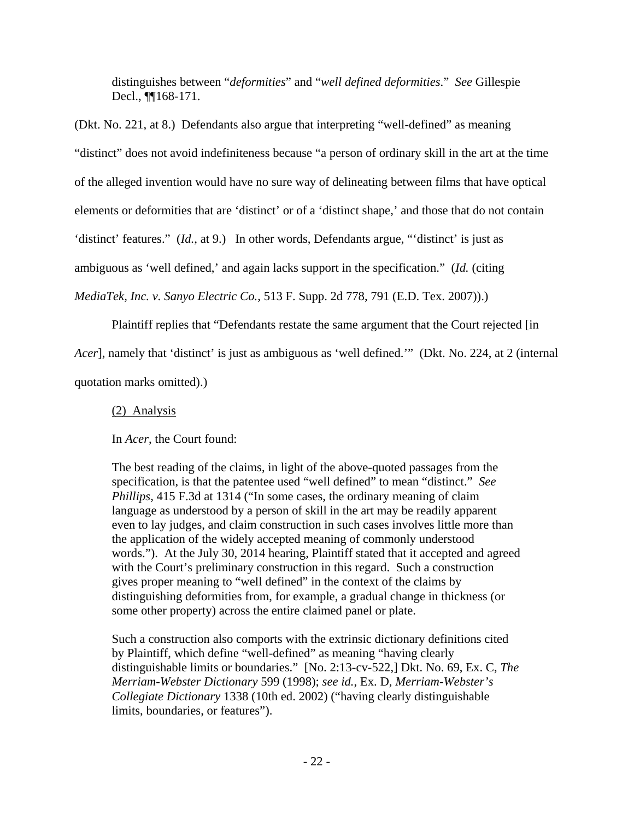distinguishes between "*deformities*" and "*well defined deformities*." *See* Gillespie Decl., ¶¶168-171.

(Dkt. No. 221, at 8.) Defendants also argue that interpreting "well-defined" as meaning "distinct" does not avoid indefiniteness because "a person of ordinary skill in the art at the time of the alleged invention would have no sure way of delineating between films that have optical elements or deformities that are 'distinct' or of a 'distinct shape,' and those that do not contain 'distinct' features." (*Id.*, at 9.) In other words, Defendants argue, "'distinct' is just as ambiguous as 'well defined,' and again lacks support in the specification." (*Id.* (citing

*MediaTek, Inc. v. Sanyo Electric Co.*, 513 F. Supp. 2d 778, 791 (E.D. Tex. 2007)).)

Plaintiff replies that "Defendants restate the same argument that the Court rejected [in

*Acer*], namely that 'distinct' is just as ambiguous as 'well defined.'" (Dkt. No. 224, at 2 (internal quotation marks omitted).)

(2) Analysis

In *Acer*, the Court found:

The best reading of the claims, in light of the above-quoted passages from the specification, is that the patentee used "well defined" to mean "distinct." *See Phillips*, 415 F.3d at 1314 ("In some cases, the ordinary meaning of claim language as understood by a person of skill in the art may be readily apparent even to lay judges, and claim construction in such cases involves little more than the application of the widely accepted meaning of commonly understood words."). At the July 30, 2014 hearing, Plaintiff stated that it accepted and agreed with the Court's preliminary construction in this regard. Such a construction gives proper meaning to "well defined" in the context of the claims by distinguishing deformities from, for example, a gradual change in thickness (or some other property) across the entire claimed panel or plate.

Such a construction also comports with the extrinsic dictionary definitions cited by Plaintiff, which define "well-defined" as meaning "having clearly distinguishable limits or boundaries." [No. 2:13-cv-522,] Dkt. No. 69, Ex. C, *The Merriam-Webster Dictionary* 599 (1998); *see id.*, Ex. D, *Merriam-Webster's Collegiate Dictionary* 1338 (10th ed. 2002) ("having clearly distinguishable limits, boundaries, or features").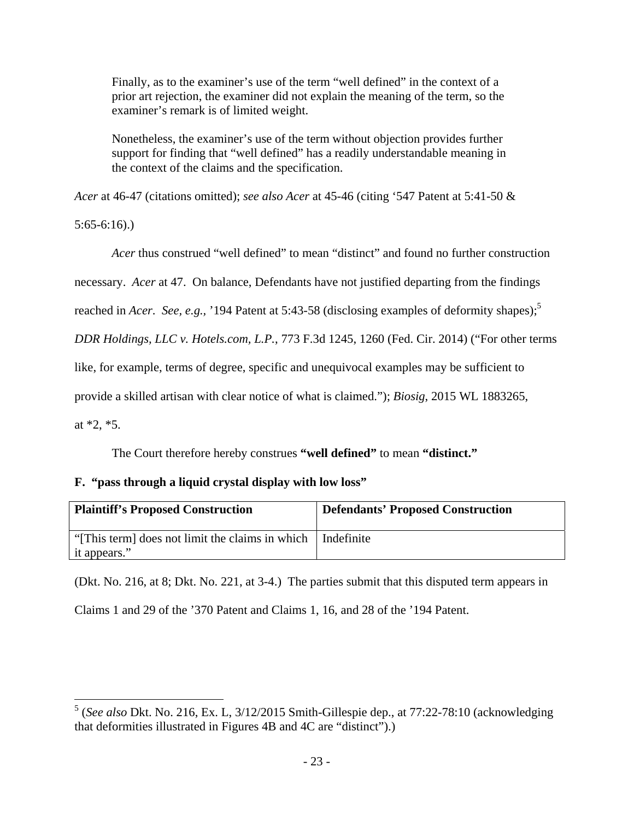Finally, as to the examiner's use of the term "well defined" in the context of a prior art rejection, the examiner did not explain the meaning of the term, so the examiner's remark is of limited weight.

Nonetheless, the examiner's use of the term without objection provides further support for finding that "well defined" has a readily understandable meaning in the context of the claims and the specification.

*Acer* at 46-47 (citations omitted); *see also Acer* at 45-46 (citing '547 Patent at 5:41-50 &

5:65-6:16).)

*Acer* thus construed "well defined" to mean "distinct" and found no further construction

necessary. *Acer* at 47. On balance, Defendants have not justified departing from the findings

reached in *Acer. See, e.g.*, '194 Patent at 5:43-58 (disclosing examples of deformity shapes);<sup>5</sup>

*DDR Holdings, LLC v. Hotels.com, L.P.*, 773 F.3d 1245, 1260 (Fed. Cir. 2014) ("For other terms

like, for example, terms of degree, specific and unequivocal examples may be sufficient to

provide a skilled artisan with clear notice of what is claimed."); *Biosig*, 2015 WL 1883265,

at \*2, \*5.

 $\overline{a}$ 

The Court therefore hereby construes **"well defined"** to mean **"distinct."**

## **F. "pass through a liquid crystal display with low loss"**

| <b>Plaintiff's Proposed Construction</b>         | <b>Defendants' Proposed Construction</b> |
|--------------------------------------------------|------------------------------------------|
| "[This term] does not limit the claims in which" | Indefinite                               |
| it appears."                                     |                                          |

(Dkt. No. 216, at 8; Dkt. No. 221, at 3-4.) The parties submit that this disputed term appears in

Claims 1 and 29 of the '370 Patent and Claims 1, 16, and 28 of the '194 Patent.

<sup>5</sup> (*See also* Dkt. No. 216, Ex. L, 3/12/2015 Smith-Gillespie dep., at 77:22-78:10 (acknowledging that deformities illustrated in Figures 4B and 4C are "distinct").)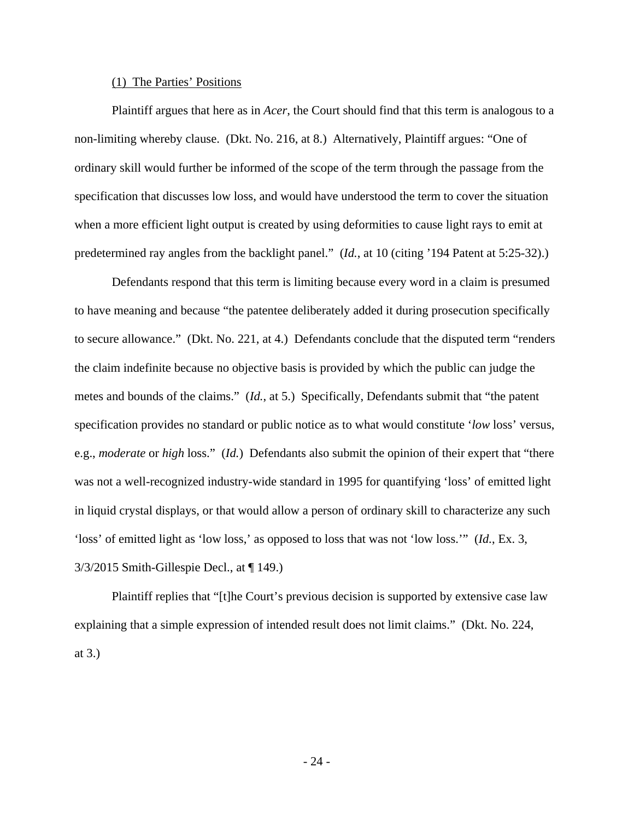### (1) The Parties' Positions

 Plaintiff argues that here as in *Acer*, the Court should find that this term is analogous to a non-limiting whereby clause. (Dkt. No. 216, at 8.) Alternatively, Plaintiff argues: "One of ordinary skill would further be informed of the scope of the term through the passage from the specification that discusses low loss, and would have understood the term to cover the situation when a more efficient light output is created by using deformities to cause light rays to emit at predetermined ray angles from the backlight panel." (*Id.*, at 10 (citing '194 Patent at 5:25-32).)

 Defendants respond that this term is limiting because every word in a claim is presumed to have meaning and because "the patentee deliberately added it during prosecution specifically to secure allowance." (Dkt. No. 221, at 4.) Defendants conclude that the disputed term "renders the claim indefinite because no objective basis is provided by which the public can judge the metes and bounds of the claims." (*Id.*, at 5.) Specifically, Defendants submit that "the patent specification provides no standard or public notice as to what would constitute '*low* loss' versus, e.g., *moderate* or *high* loss." (*Id.*) Defendants also submit the opinion of their expert that "there was not a well-recognized industry-wide standard in 1995 for quantifying 'loss' of emitted light in liquid crystal displays, or that would allow a person of ordinary skill to characterize any such 'loss' of emitted light as 'low loss,' as opposed to loss that was not 'low loss.'" (*Id.*, Ex. 3, 3/3/2015 Smith-Gillespie Decl., at ¶ 149.)

 Plaintiff replies that "[t]he Court's previous decision is supported by extensive case law explaining that a simple expression of intended result does not limit claims." (Dkt. No. 224, at 3.)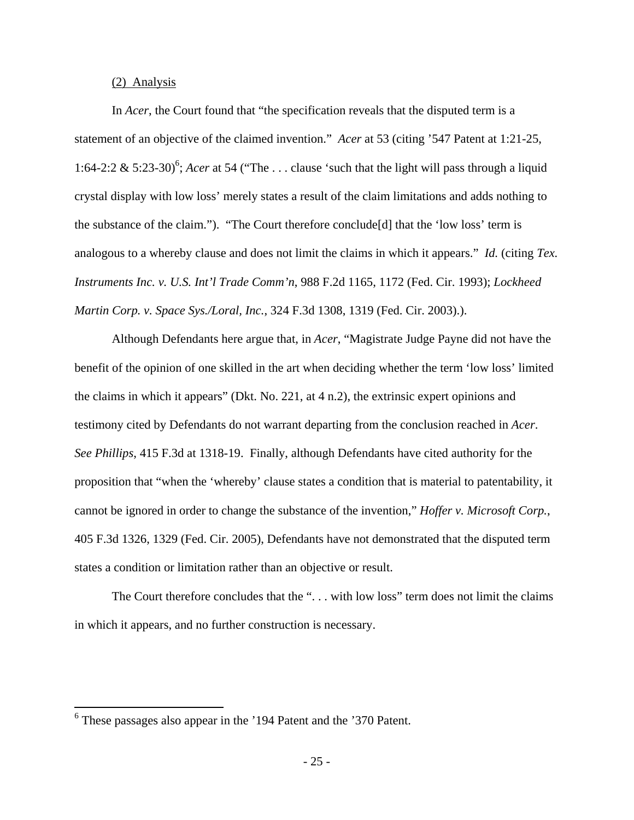(2) Analysis

 In *Acer*, the Court found that "the specification reveals that the disputed term is a statement of an objective of the claimed invention." *Acer* at 53 (citing '547 Patent at 1:21-25, 1:64-2:2 & 5:23-30)<sup>6</sup>; *Acer* at 54 ("The ... clause 'such that the light will pass through a liquid crystal display with low loss' merely states a result of the claim limitations and adds nothing to the substance of the claim."). "The Court therefore conclude[d] that the 'low loss' term is analogous to a whereby clause and does not limit the claims in which it appears." *Id.* (citing *Tex. Instruments Inc. v. U.S. Int'l Trade Comm'n*, 988 F.2d 1165, 1172 (Fed. Cir. 1993); *Lockheed Martin Corp. v. Space Sys./Loral, Inc.*, 324 F.3d 1308, 1319 (Fed. Cir. 2003).).

 Although Defendants here argue that, in *Acer*, "Magistrate Judge Payne did not have the benefit of the opinion of one skilled in the art when deciding whether the term 'low loss' limited the claims in which it appears" (Dkt. No. 221, at 4 n.2), the extrinsic expert opinions and testimony cited by Defendants do not warrant departing from the conclusion reached in *Acer*. *See Phillips*, 415 F.3d at 1318-19. Finally, although Defendants have cited authority for the proposition that "when the 'whereby' clause states a condition that is material to patentability, it cannot be ignored in order to change the substance of the invention," *Hoffer v. Microsoft Corp.*, 405 F.3d 1326, 1329 (Fed. Cir. 2005), Defendants have not demonstrated that the disputed term states a condition or limitation rather than an objective or result.

The Court therefore concludes that the "... with low loss" term does not limit the claims in which it appears, and no further construction is necessary.

<u>.</u>

<sup>&</sup>lt;sup>6</sup> These passages also appear in the '194 Patent and the '370 Patent.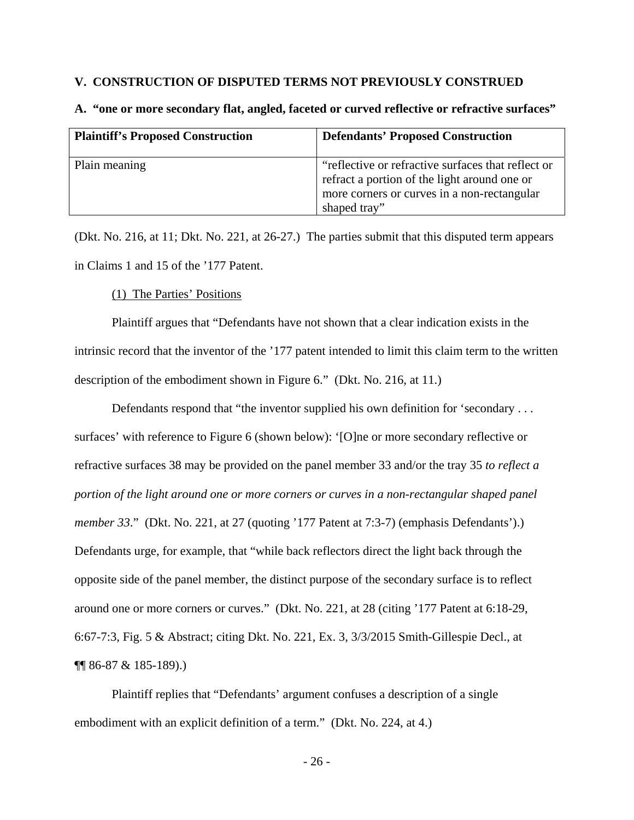### **V. CONSTRUCTION OF DISPUTED TERMS NOT PREVIOUSLY CONSTRUED**

| <b>Plaintiff's Proposed Construction</b> | <b>Defendants' Proposed Construction</b>                                                                                                                          |
|------------------------------------------|-------------------------------------------------------------------------------------------------------------------------------------------------------------------|
| Plain meaning                            | "reflective or refractive surfaces that reflect or<br>refract a portion of the light around one or<br>more corners or curves in a non-rectangular<br>shaped tray" |

### **A. "one or more secondary flat, angled, faceted or curved reflective or refractive surfaces"**

(Dkt. No. 216, at 11; Dkt. No. 221, at 26-27.) The parties submit that this disputed term appears in Claims 1 and 15 of the '177 Patent.

(1) The Parties' Positions

 Plaintiff argues that "Defendants have not shown that a clear indication exists in the intrinsic record that the inventor of the '177 patent intended to limit this claim term to the written description of the embodiment shown in Figure 6." (Dkt. No. 216, at 11.)

Defendants respond that "the inventor supplied his own definition for 'secondary . . . surfaces' with reference to Figure 6 (shown below): '[O]ne or more secondary reflective or refractive surfaces 38 may be provided on the panel member 33 and/or the tray 35 *to reflect a portion of the light around one or more corners or curves in a non-rectangular shaped panel member 33*." (Dkt. No. 221, at 27 (quoting '177 Patent at 7:3-7) (emphasis Defendants').) Defendants urge, for example, that "while back reflectors direct the light back through the opposite side of the panel member, the distinct purpose of the secondary surface is to reflect around one or more corners or curves." (Dkt. No. 221, at 28 (citing '177 Patent at 6:18-29, 6:67-7:3, Fig. 5 & Abstract; citing Dkt. No. 221, Ex. 3, 3/3/2015 Smith-Gillespie Decl., at ¶¶ 86-87 & 185-189).)

 Plaintiff replies that "Defendants' argument confuses a description of a single embodiment with an explicit definition of a term." (Dkt. No. 224, at 4.)

- 26 -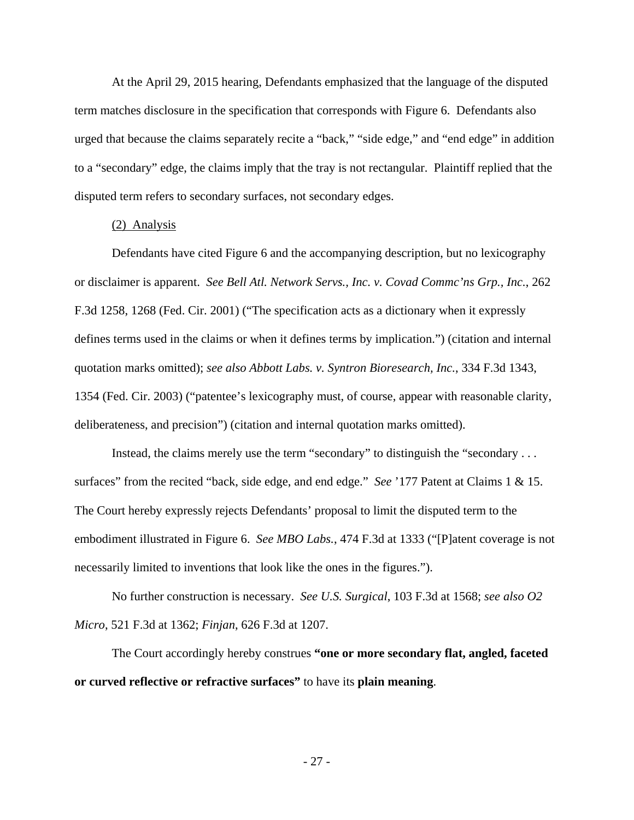At the April 29, 2015 hearing, Defendants emphasized that the language of the disputed term matches disclosure in the specification that corresponds with Figure 6. Defendants also urged that because the claims separately recite a "back," "side edge," and "end edge" in addition to a "secondary" edge, the claims imply that the tray is not rectangular. Plaintiff replied that the disputed term refers to secondary surfaces, not secondary edges.

#### (2) Analysis

 Defendants have cited Figure 6 and the accompanying description, but no lexicography or disclaimer is apparent. *See Bell Atl. Network Servs., Inc. v. Covad Commc'ns Grp., Inc.*, 262 F.3d 1258, 1268 (Fed. Cir. 2001) ("The specification acts as a dictionary when it expressly defines terms used in the claims or when it defines terms by implication.") (citation and internal quotation marks omitted); *see also Abbott Labs. v. Syntron Bioresearch, Inc.*, 334 F.3d 1343, 1354 (Fed. Cir. 2003) ("patentee's lexicography must, of course, appear with reasonable clarity, deliberateness, and precision") (citation and internal quotation marks omitted).

 Instead, the claims merely use the term "secondary" to distinguish the "secondary . . . surfaces" from the recited "back, side edge, and end edge." *See* '177 Patent at Claims 1 & 15. The Court hereby expressly rejects Defendants' proposal to limit the disputed term to the embodiment illustrated in Figure 6. *See MBO Labs.*, 474 F.3d at 1333 ("[P]atent coverage is not necessarily limited to inventions that look like the ones in the figures.").

 No further construction is necessary. *See U.S. Surgical*, 103 F.3d at 1568; *see also O2 Micro*, 521 F.3d at 1362; *Finjan*, 626 F.3d at 1207.

 The Court accordingly hereby construes **"one or more secondary flat, angled, faceted or curved reflective or refractive surfaces"** to have its **plain meaning**.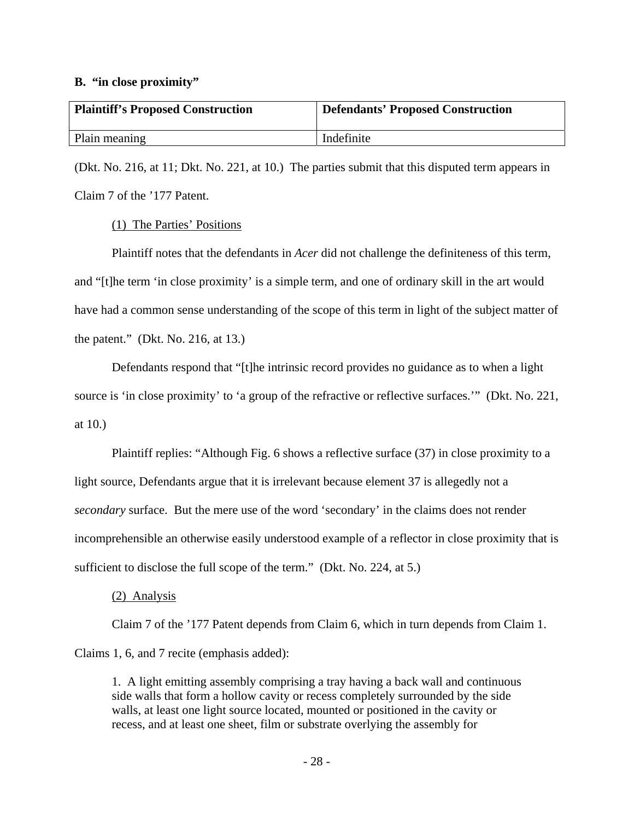#### **B. "in close proximity"**

| <b>Plaintiff's Proposed Construction</b> | <b>Defendants' Proposed Construction</b> |
|------------------------------------------|------------------------------------------|
| Plain meaning                            | Indefinite                               |

(Dkt. No. 216, at 11; Dkt. No. 221, at 10.) The parties submit that this disputed term appears in Claim 7 of the '177 Patent.

### (1) The Parties' Positions

 Plaintiff notes that the defendants in *Acer* did not challenge the definiteness of this term, and "[t]he term 'in close proximity' is a simple term, and one of ordinary skill in the art would have had a common sense understanding of the scope of this term in light of the subject matter of the patent." (Dkt. No. 216, at 13.)

 Defendants respond that "[t]he intrinsic record provides no guidance as to when a light source is 'in close proximity' to 'a group of the refractive or reflective surfaces.'" (Dkt. No. 221, at 10.)

 Plaintiff replies: "Although Fig. 6 shows a reflective surface (37) in close proximity to a light source, Defendants argue that it is irrelevant because element 37 is allegedly not a *secondary* surface. But the mere use of the word 'secondary' in the claims does not render incomprehensible an otherwise easily understood example of a reflector in close proximity that is sufficient to disclose the full scope of the term." (Dkt. No. 224, at 5.)

## (2) Analysis

 Claim 7 of the '177 Patent depends from Claim 6, which in turn depends from Claim 1. Claims 1, 6, and 7 recite (emphasis added):

1. A light emitting assembly comprising a tray having a back wall and continuous side walls that form a hollow cavity or recess completely surrounded by the side walls, at least one light source located, mounted or positioned in the cavity or recess, and at least one sheet, film or substrate overlying the assembly for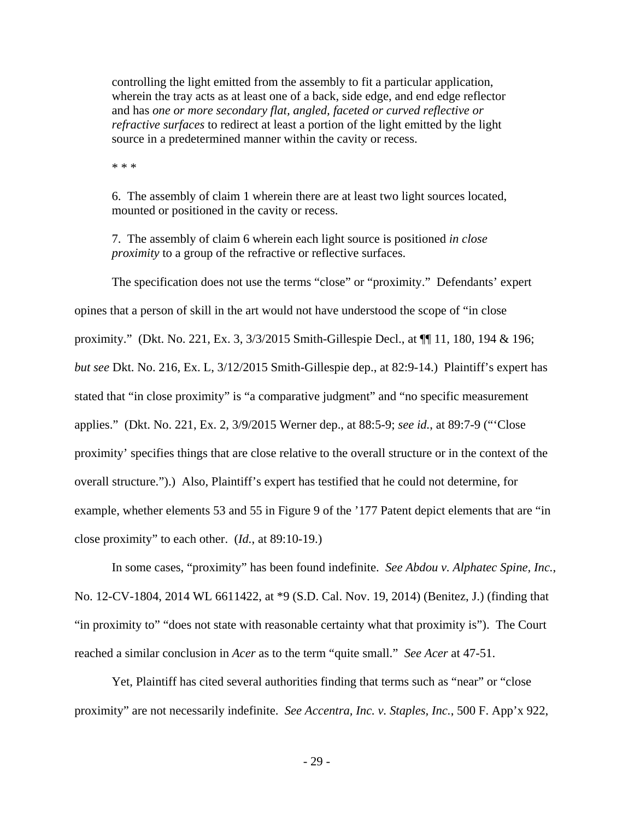controlling the light emitted from the assembly to fit a particular application, wherein the tray acts as at least one of a back, side edge, and end edge reflector and has *one or more secondary flat, angled, faceted or curved reflective or refractive surfaces* to redirect at least a portion of the light emitted by the light source in a predetermined manner within the cavity or recess.

\* \* \*

6. The assembly of claim 1 wherein there are at least two light sources located, mounted or positioned in the cavity or recess.

7. The assembly of claim 6 wherein each light source is positioned *in close proximity* to a group of the refractive or reflective surfaces.

 The specification does not use the terms "close" or "proximity." Defendants' expert opines that a person of skill in the art would not have understood the scope of "in close proximity." (Dkt. No. 221, Ex. 3, 3/3/2015 Smith-Gillespie Decl., at ¶¶ 11, 180, 194 & 196; *but see* Dkt. No. 216, Ex. L, 3/12/2015 Smith-Gillespie dep., at 82:9-14.) Plaintiff's expert has stated that "in close proximity" is "a comparative judgment" and "no specific measurement applies." (Dkt. No. 221, Ex. 2, 3/9/2015 Werner dep., at 88:5-9; *see id.*, at 89:7-9 ("'Close proximity' specifies things that are close relative to the overall structure or in the context of the overall structure.").) Also, Plaintiff's expert has testified that he could not determine, for example, whether elements 53 and 55 in Figure 9 of the '177 Patent depict elements that are "in close proximity" to each other. (*Id.*, at 89:10-19.)

 In some cases, "proximity" has been found indefinite. *See Abdou v. Alphatec Spine, Inc.*, No. 12-CV-1804, 2014 WL 6611422, at \*9 (S.D. Cal. Nov. 19, 2014) (Benitez, J.) (finding that "in proximity to" "does not state with reasonable certainty what that proximity is"). The Court reached a similar conclusion in *Acer* as to the term "quite small." *See Acer* at 47-51.

 Yet, Plaintiff has cited several authorities finding that terms such as "near" or "close proximity" are not necessarily indefinite. *See Accentra, Inc. v. Staples, Inc.*, 500 F. App'x 922,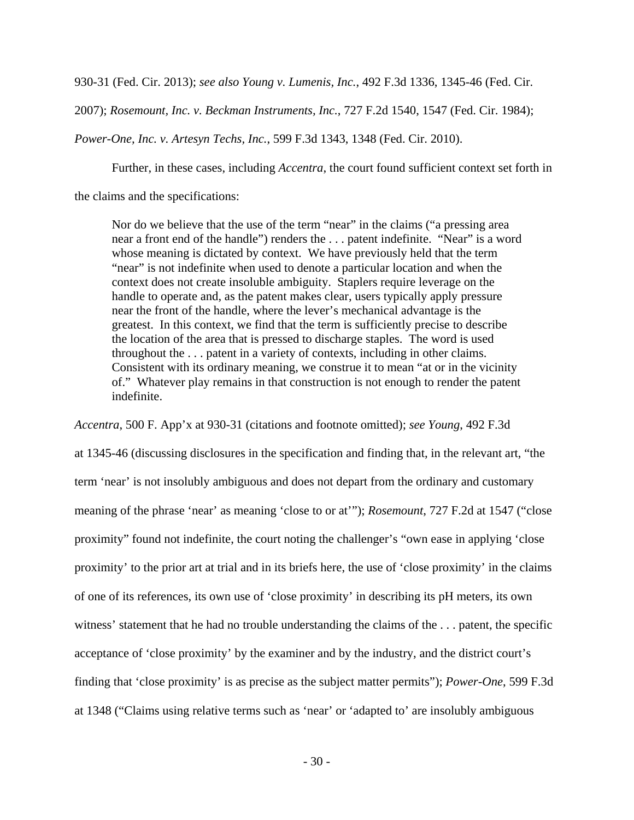930-31 (Fed. Cir. 2013); *see also Young v. Lumenis, Inc.*, 492 F.3d 1336, 1345-46 (Fed. Cir.

2007); *Rosemount, Inc. v. Beckman Instruments, Inc.*, 727 F.2d 1540, 1547 (Fed. Cir. 1984);

*Power-One, Inc. v. Artesyn Techs, Inc.*, 599 F.3d 1343, 1348 (Fed. Cir. 2010).

Further, in these cases, including *Accentra*, the court found sufficient context set forth in

the claims and the specifications:

Nor do we believe that the use of the term "near" in the claims ("a pressing area near a front end of the handle") renders the . . . patent indefinite. "Near" is a word whose meaning is dictated by context. We have previously held that the term "near" is not indefinite when used to denote a particular location and when the context does not create insoluble ambiguity. Staplers require leverage on the handle to operate and, as the patent makes clear, users typically apply pressure near the front of the handle, where the lever's mechanical advantage is the greatest. In this context, we find that the term is sufficiently precise to describe the location of the area that is pressed to discharge staples. The word is used throughout the . . . patent in a variety of contexts, including in other claims. Consistent with its ordinary meaning, we construe it to mean "at or in the vicinity of." Whatever play remains in that construction is not enough to render the patent indefinite.

*Accentra*, 500 F. App'x at 930-31 (citations and footnote omitted); *see Young*, 492 F.3d

at 1345-46 (discussing disclosures in the specification and finding that, in the relevant art, "the term 'near' is not insolubly ambiguous and does not depart from the ordinary and customary meaning of the phrase 'near' as meaning 'close to or at'"); *Rosemount*, 727 F.2d at 1547 ("close proximity" found not indefinite, the court noting the challenger's "own ease in applying 'close proximity' to the prior art at trial and in its briefs here, the use of 'close proximity' in the claims of one of its references, its own use of 'close proximity' in describing its pH meters, its own witness' statement that he had no trouble understanding the claims of the . . . patent, the specific acceptance of 'close proximity' by the examiner and by the industry, and the district court's finding that 'close proximity' is as precise as the subject matter permits"); *Power-One*, 599 F.3d at 1348 ("Claims using relative terms such as 'near' or 'adapted to' are insolubly ambiguous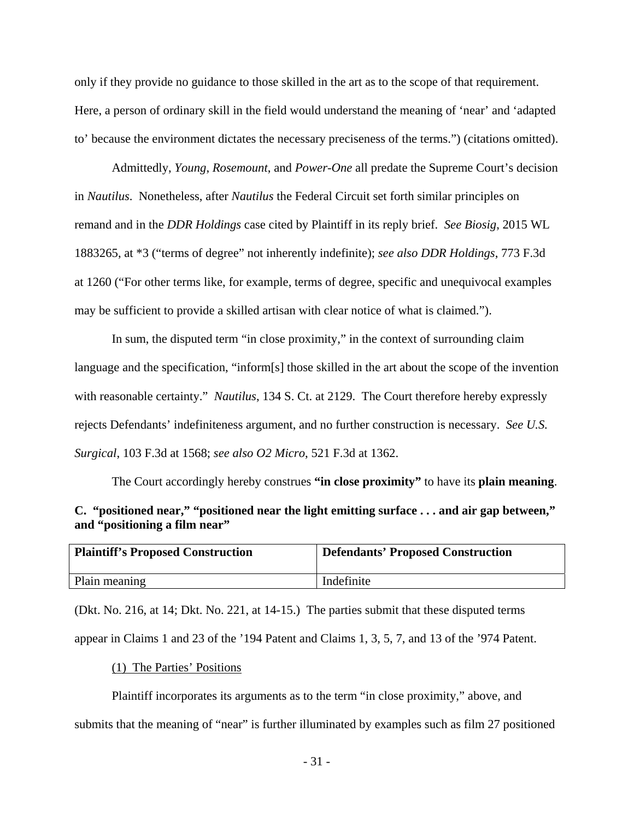only if they provide no guidance to those skilled in the art as to the scope of that requirement. Here, a person of ordinary skill in the field would understand the meaning of 'near' and 'adapted to' because the environment dictates the necessary preciseness of the terms.") (citations omitted).

 Admittedly, *Young*, *Rosemount*, and *Power-One* all predate the Supreme Court's decision in *Nautilus*. Nonetheless, after *Nautilus* the Federal Circuit set forth similar principles on remand and in the *DDR Holdings* case cited by Plaintiff in its reply brief. *See Biosig*, 2015 WL 1883265, at \*3 ("terms of degree" not inherently indefinite); *see also DDR Holdings*, 773 F.3d at 1260 ("For other terms like, for example, terms of degree, specific and unequivocal examples may be sufficient to provide a skilled artisan with clear notice of what is claimed.").

 In sum, the disputed term "in close proximity," in the context of surrounding claim language and the specification, "inform[s] those skilled in the art about the scope of the invention with reasonable certainty." *Nautilus*, 134 S. Ct. at 2129. The Court therefore hereby expressly rejects Defendants' indefiniteness argument, and no further construction is necessary. *See U.S. Surgical*, 103 F.3d at 1568; *see also O2 Micro*, 521 F.3d at 1362.

 The Court accordingly hereby construes **"in close proximity"** to have its **plain meaning**. **C. "positioned near," "positioned near the light emitting surface . . . and air gap between," and "positioning a film near"** 

| <b>Plaintiff's Proposed Construction</b> | <b>Defendants' Proposed Construction</b> |
|------------------------------------------|------------------------------------------|
| Plain meaning                            | Indefinite                               |

(Dkt. No. 216, at 14; Dkt. No. 221, at 14-15.) The parties submit that these disputed terms appear in Claims 1 and 23 of the '194 Patent and Claims 1, 3, 5, 7, and 13 of the '974 Patent.

(1) The Parties' Positions

 Plaintiff incorporates its arguments as to the term "in close proximity," above, and submits that the meaning of "near" is further illuminated by examples such as film 27 positioned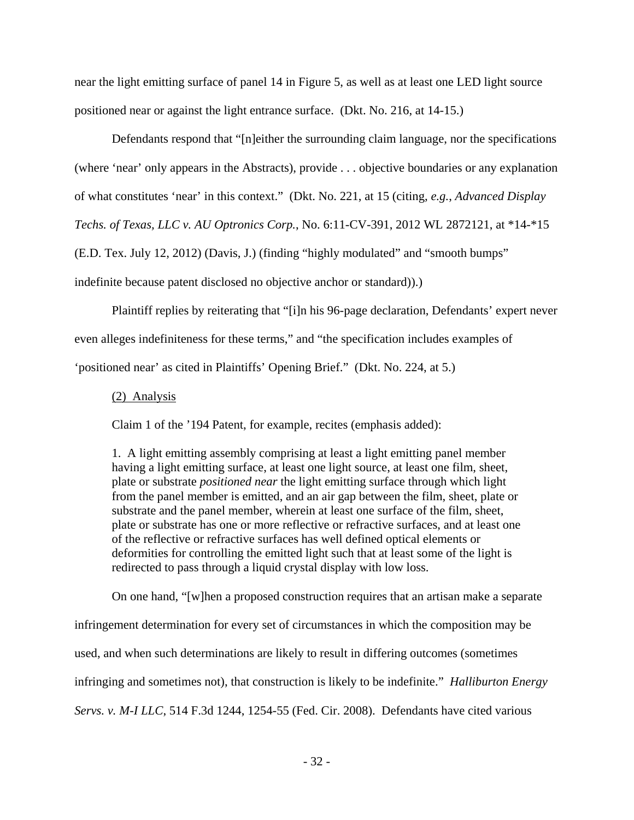near the light emitting surface of panel 14 in Figure 5, as well as at least one LED light source positioned near or against the light entrance surface. (Dkt. No. 216, at 14-15.)

 Defendants respond that "[n]either the surrounding claim language, nor the specifications (where 'near' only appears in the Abstracts), provide . . . objective boundaries or any explanation of what constitutes 'near' in this context." (Dkt. No. 221, at 15 (citing, *e.g.*, *Advanced Display Techs. of Texas, LLC v. AU Optronics Corp.*, No. 6:11-CV-391, 2012 WL 2872121, at \*14-\*15 (E.D. Tex. July 12, 2012) (Davis, J.) (finding "highly modulated" and "smooth bumps" indefinite because patent disclosed no objective anchor or standard)).)

 Plaintiff replies by reiterating that "[i]n his 96-page declaration, Defendants' expert never even alleges indefiniteness for these terms," and "the specification includes examples of 'positioned near' as cited in Plaintiffs' Opening Brief." (Dkt. No. 224, at 5.)

#### (2) Analysis

Claim 1 of the '194 Patent, for example, recites (emphasis added):

1. A light emitting assembly comprising at least a light emitting panel member having a light emitting surface, at least one light source, at least one film, sheet, plate or substrate *positioned near* the light emitting surface through which light from the panel member is emitted, and an air gap between the film, sheet, plate or substrate and the panel member, wherein at least one surface of the film, sheet, plate or substrate has one or more reflective or refractive surfaces, and at least one of the reflective or refractive surfaces has well defined optical elements or deformities for controlling the emitted light such that at least some of the light is redirected to pass through a liquid crystal display with low loss.

On one hand, "[w]hen a proposed construction requires that an artisan make a separate

infringement determination for every set of circumstances in which the composition may be used, and when such determinations are likely to result in differing outcomes (sometimes infringing and sometimes not), that construction is likely to be indefinite." *Halliburton Energy Servs. v. M-I LLC*, 514 F.3d 1244, 1254-55 (Fed. Cir. 2008). Defendants have cited various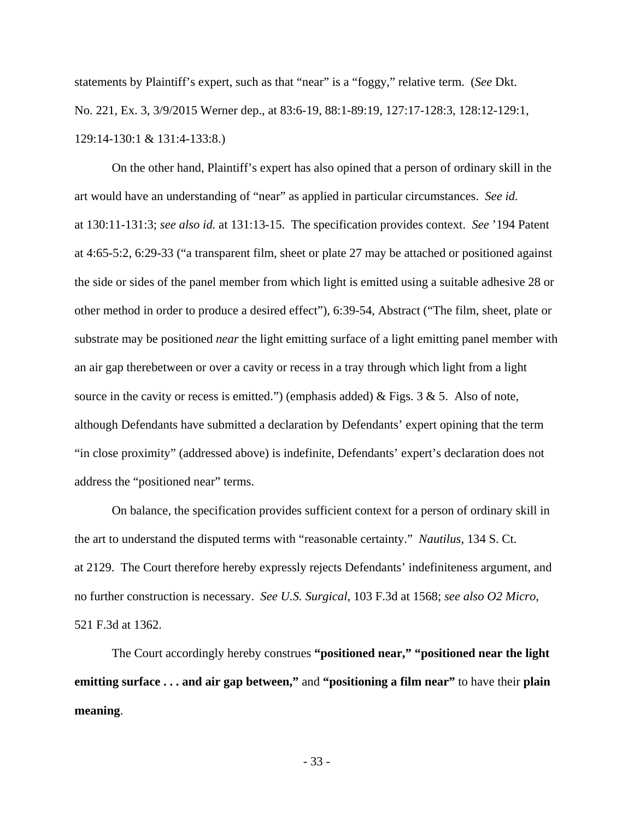statements by Plaintiff's expert, such as that "near" is a "foggy," relative term. (*See* Dkt. No. 221, Ex. 3, 3/9/2015 Werner dep., at 83:6-19, 88:1-89:19, 127:17-128:3, 128:12-129:1, 129:14-130:1 & 131:4-133:8.)

 On the other hand, Plaintiff's expert has also opined that a person of ordinary skill in the art would have an understanding of "near" as applied in particular circumstances. *See id.* at 130:11-131:3; *see also id.* at 131:13-15. The specification provides context. *See* '194 Patent at 4:65-5:2, 6:29-33 ("a transparent film, sheet or plate 27 may be attached or positioned against the side or sides of the panel member from which light is emitted using a suitable adhesive 28 or other method in order to produce a desired effect"), 6:39-54, Abstract ("The film, sheet, plate or substrate may be positioned *near* the light emitting surface of a light emitting panel member with an air gap therebetween or over a cavity or recess in a tray through which light from a light source in the cavity or recess is emitted.") (emphasis added) & Figs. 3 & 5. Also of note, although Defendants have submitted a declaration by Defendants' expert opining that the term "in close proximity" (addressed above) is indefinite, Defendants' expert's declaration does not address the "positioned near" terms.

 On balance, the specification provides sufficient context for a person of ordinary skill in the art to understand the disputed terms with "reasonable certainty." *Nautilus*, 134 S. Ct. at 2129. The Court therefore hereby expressly rejects Defendants' indefiniteness argument, and no further construction is necessary. *See U.S. Surgical*, 103 F.3d at 1568; *see also O2 Micro*, 521 F.3d at 1362.

 The Court accordingly hereby construes **"positioned near," "positioned near the light emitting surface . . . and air gap between,"** and **"positioning a film near"** to have their **plain meaning**.

- 33 -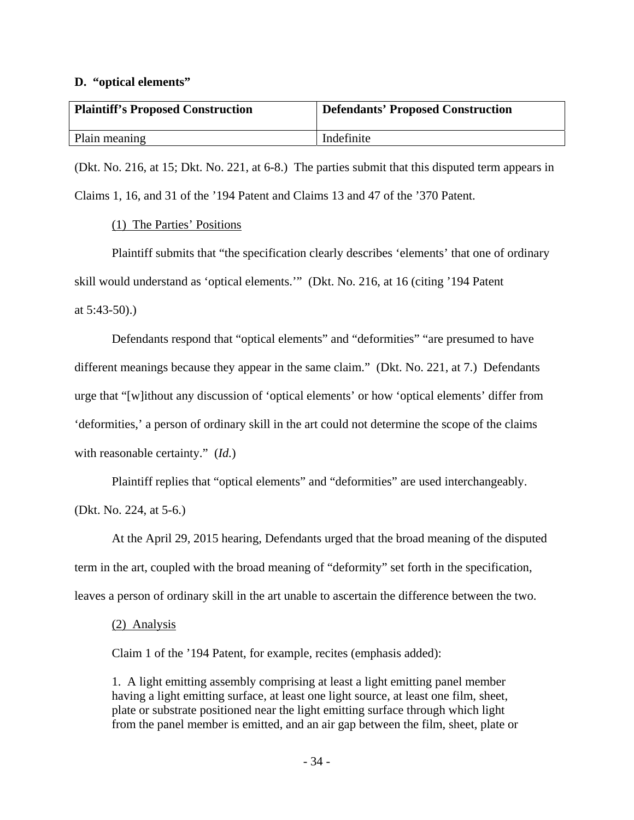#### **D. "optical elements"**

| <b>Plaintiff's Proposed Construction</b> | <b>Defendants' Proposed Construction</b> |
|------------------------------------------|------------------------------------------|
| Plain meaning                            | Indefinite                               |

(Dkt. No. 216, at 15; Dkt. No. 221, at 6-8.) The parties submit that this disputed term appears in Claims 1, 16, and 31 of the '194 Patent and Claims 13 and 47 of the '370 Patent.

(1) The Parties' Positions

 Plaintiff submits that "the specification clearly describes 'elements' that one of ordinary skill would understand as 'optical elements.'" (Dkt. No. 216, at 16 (citing '194 Patent at 5:43-50).)

 Defendants respond that "optical elements" and "deformities" "are presumed to have different meanings because they appear in the same claim." (Dkt. No. 221, at 7.) Defendants urge that "[w]ithout any discussion of 'optical elements' or how 'optical elements' differ from 'deformities,' a person of ordinary skill in the art could not determine the scope of the claims with reasonable certainty." (*Id.*)

 Plaintiff replies that "optical elements" and "deformities" are used interchangeably. (Dkt. No. 224, at 5-6.)

 At the April 29, 2015 hearing, Defendants urged that the broad meaning of the disputed term in the art, coupled with the broad meaning of "deformity" set forth in the specification, leaves a person of ordinary skill in the art unable to ascertain the difference between the two.

### (2) Analysis

Claim 1 of the '194 Patent, for example, recites (emphasis added):

1. A light emitting assembly comprising at least a light emitting panel member having a light emitting surface, at least one light source, at least one film, sheet, plate or substrate positioned near the light emitting surface through which light from the panel member is emitted, and an air gap between the film, sheet, plate or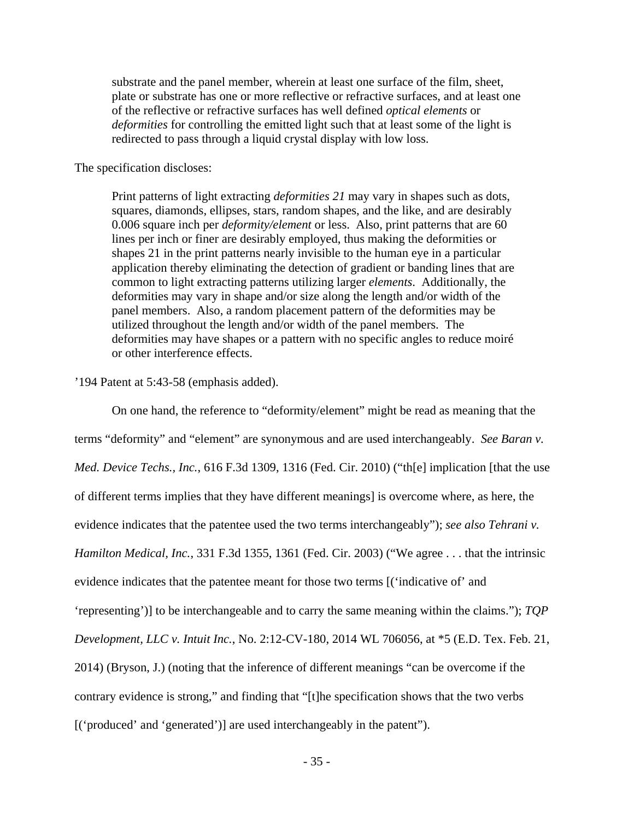substrate and the panel member, wherein at least one surface of the film, sheet, plate or substrate has one or more reflective or refractive surfaces, and at least one of the reflective or refractive surfaces has well defined *optical elements* or *deformities* for controlling the emitted light such that at least some of the light is redirected to pass through a liquid crystal display with low loss.

#### The specification discloses:

Print patterns of light extracting *deformities 21* may vary in shapes such as dots, squares, diamonds, ellipses, stars, random shapes, and the like, and are desirably 0.006 square inch per *deformity/element* or less. Also, print patterns that are 60 lines per inch or finer are desirably employed, thus making the deformities or shapes 21 in the print patterns nearly invisible to the human eye in a particular application thereby eliminating the detection of gradient or banding lines that are common to light extracting patterns utilizing larger *elements*. Additionally, the deformities may vary in shape and/or size along the length and/or width of the panel members. Also, a random placement pattern of the deformities may be utilized throughout the length and/or width of the panel members. The deformities may have shapes or a pattern with no specific angles to reduce moiré or other interference effects.

### '194 Patent at 5:43-58 (emphasis added).

 On one hand, the reference to "deformity/element" might be read as meaning that the terms "deformity" and "element" are synonymous and are used interchangeably. *See Baran v. Med. Device Techs., Inc.*, 616 F.3d 1309, 1316 (Fed. Cir. 2010) ("th[e] implication [that the use of different terms implies that they have different meanings] is overcome where, as here, the evidence indicates that the patentee used the two terms interchangeably"); *see also Tehrani v. Hamilton Medical, Inc.*, 331 F.3d 1355, 1361 (Fed. Cir. 2003) ("We agree . . . that the intrinsic evidence indicates that the patentee meant for those two terms [('indicative of' and 'representing')] to be interchangeable and to carry the same meaning within the claims."); *TQP Development, LLC v. Intuit Inc.*, No. 2:12-CV-180, 2014 WL 706056, at \*5 (E.D. Tex. Feb. 21, 2014) (Bryson, J.) (noting that the inference of different meanings "can be overcome if the contrary evidence is strong," and finding that "[t]he specification shows that the two verbs [('produced' and 'generated')] are used interchangeably in the patent").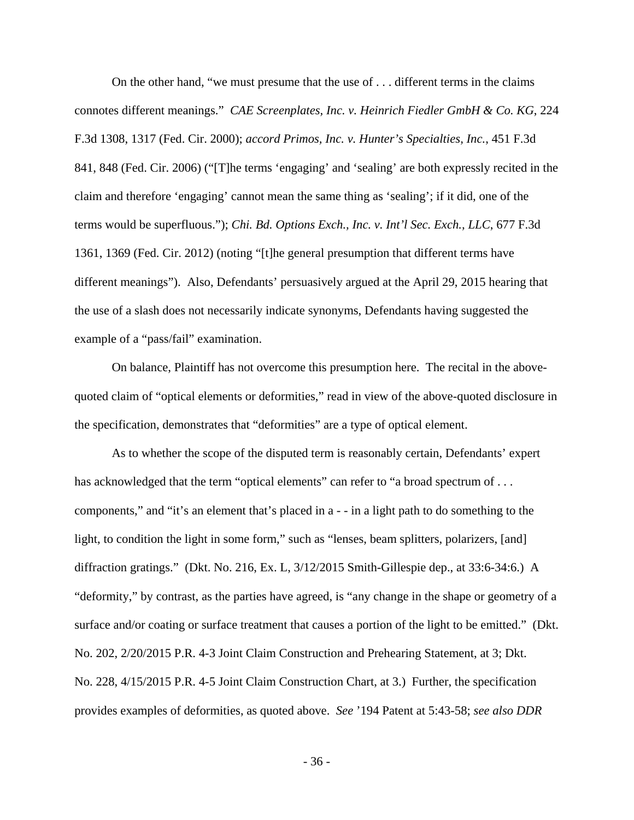On the other hand, "we must presume that the use of . . . different terms in the claims connotes different meanings." *CAE Screenplates, Inc. v. Heinrich Fiedler GmbH & Co. KG*, 224 F.3d 1308, 1317 (Fed. Cir. 2000); *accord Primos, Inc. v. Hunter's Specialties, Inc.*, 451 F.3d 841, 848 (Fed. Cir. 2006) ("[T]he terms 'engaging' and 'sealing' are both expressly recited in the claim and therefore 'engaging' cannot mean the same thing as 'sealing'; if it did, one of the terms would be superfluous."); *Chi. Bd. Options Exch., Inc. v. Int'l Sec. Exch., LLC*, 677 F.3d 1361, 1369 (Fed. Cir. 2012) (noting "[t]he general presumption that different terms have different meanings"). Also, Defendants' persuasively argued at the April 29, 2015 hearing that the use of a slash does not necessarily indicate synonyms, Defendants having suggested the example of a "pass/fail" examination.

 On balance, Plaintiff has not overcome this presumption here. The recital in the abovequoted claim of "optical elements or deformities," read in view of the above-quoted disclosure in the specification, demonstrates that "deformities" are a type of optical element.

 As to whether the scope of the disputed term is reasonably certain, Defendants' expert has acknowledged that the term "optical elements" can refer to "a broad spectrum of . . . components," and "it's an element that's placed in a - - in a light path to do something to the light, to condition the light in some form," such as "lenses, beam splitters, polarizers, [and] diffraction gratings." (Dkt. No. 216, Ex. L, 3/12/2015 Smith-Gillespie dep., at 33:6-34:6.) A "deformity," by contrast, as the parties have agreed, is "any change in the shape or geometry of a surface and/or coating or surface treatment that causes a portion of the light to be emitted." (Dkt. No. 202, 2/20/2015 P.R. 4-3 Joint Claim Construction and Prehearing Statement, at 3; Dkt. No. 228, 4/15/2015 P.R. 4-5 Joint Claim Construction Chart, at 3.) Further, the specification provides examples of deformities, as quoted above. *See* '194 Patent at 5:43-58; *see also DDR*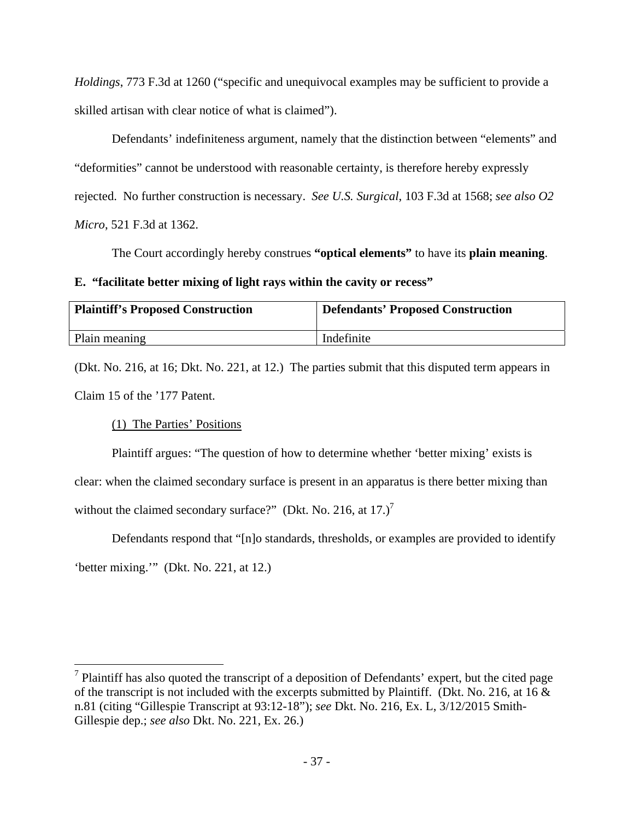*Holdings*, 773 F.3d at 1260 ("specific and unequivocal examples may be sufficient to provide a skilled artisan with clear notice of what is claimed").

 Defendants' indefiniteness argument, namely that the distinction between "elements" and "deformities" cannot be understood with reasonable certainty, is therefore hereby expressly rejected. No further construction is necessary. *See U.S. Surgical*, 103 F.3d at 1568; *see also O2 Micro*, 521 F.3d at 1362.

The Court accordingly hereby construes **"optical elements"** to have its **plain meaning**.

### **E. "facilitate better mixing of light rays within the cavity or recess"**

| Plaintiff's Proposed Construction | <b>Defendants' Proposed Construction</b> |
|-----------------------------------|------------------------------------------|
| Plain meaning                     | Indefinite                               |

(Dkt. No. 216, at 16; Dkt. No. 221, at 12.) The parties submit that this disputed term appears in Claim 15 of the '177 Patent.

(1) The Parties' Positions

<u>.</u>

 Plaintiff argues: "The question of how to determine whether 'better mixing' exists is clear: when the claimed secondary surface is present in an apparatus is there better mixing than without the claimed secondary surface?" (Dkt. No. 216, at  $17.$ )<sup>7</sup>

 Defendants respond that "[n]o standards, thresholds, or examples are provided to identify 'better mixing.'" (Dkt. No. 221, at 12.)

 $<sup>7</sup>$  Plaintiff has also quoted the transcript of a deposition of Defendants' expert, but the cited page</sup> of the transcript is not included with the excerpts submitted by Plaintiff. (Dkt. No. 216, at 16 & n.81 (citing "Gillespie Transcript at 93:12-18"); *see* Dkt. No. 216, Ex. L, 3/12/2015 Smith-Gillespie dep.; *see also* Dkt. No. 221, Ex. 26.)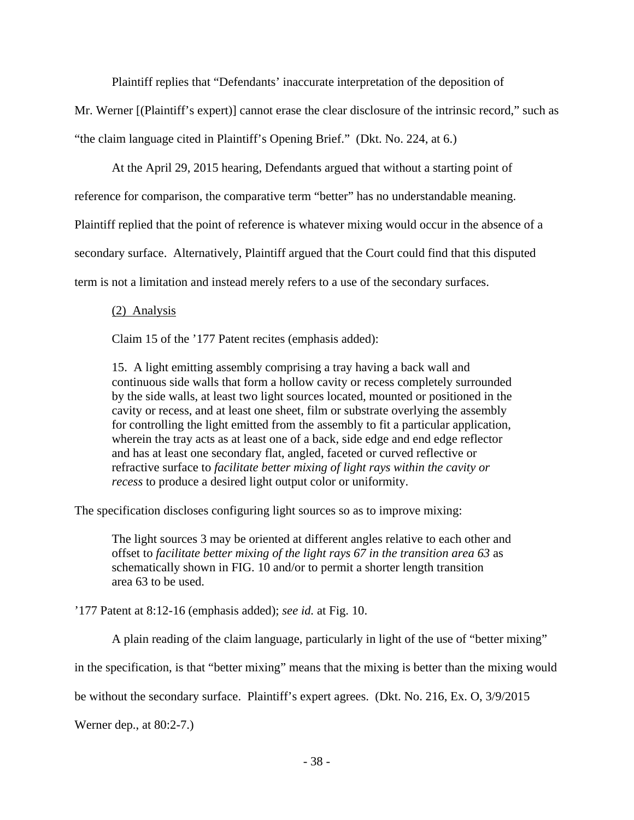Plaintiff replies that "Defendants' inaccurate interpretation of the deposition of

Mr. Werner [(Plaintiff's expert)] cannot erase the clear disclosure of the intrinsic record," such as "the claim language cited in Plaintiff's Opening Brief." (Dkt. No. 224, at 6.)

At the April 29, 2015 hearing, Defendants argued that without a starting point of

reference for comparison, the comparative term "better" has no understandable meaning.

Plaintiff replied that the point of reference is whatever mixing would occur in the absence of a

secondary surface. Alternatively, Plaintiff argued that the Court could find that this disputed

term is not a limitation and instead merely refers to a use of the secondary surfaces.

### (2) Analysis

Claim 15 of the '177 Patent recites (emphasis added):

15. A light emitting assembly comprising a tray having a back wall and continuous side walls that form a hollow cavity or recess completely surrounded by the side walls, at least two light sources located, mounted or positioned in the cavity or recess, and at least one sheet, film or substrate overlying the assembly for controlling the light emitted from the assembly to fit a particular application, wherein the tray acts as at least one of a back, side edge and end edge reflector and has at least one secondary flat, angled, faceted or curved reflective or refractive surface to *facilitate better mixing of light rays within the cavity or recess* to produce a desired light output color or uniformity.

The specification discloses configuring light sources so as to improve mixing:

The light sources 3 may be oriented at different angles relative to each other and offset to *facilitate better mixing of the light rays 67 in the transition area 63* as schematically shown in FIG. 10 and/or to permit a shorter length transition area 63 to be used.

'177 Patent at 8:12-16 (emphasis added); *see id.* at Fig. 10.

A plain reading of the claim language, particularly in light of the use of "better mixing"

in the specification, is that "better mixing" means that the mixing is better than the mixing would

be without the secondary surface. Plaintiff's expert agrees. (Dkt. No. 216, Ex. O, 3/9/2015

Werner dep., at 80:2-7.)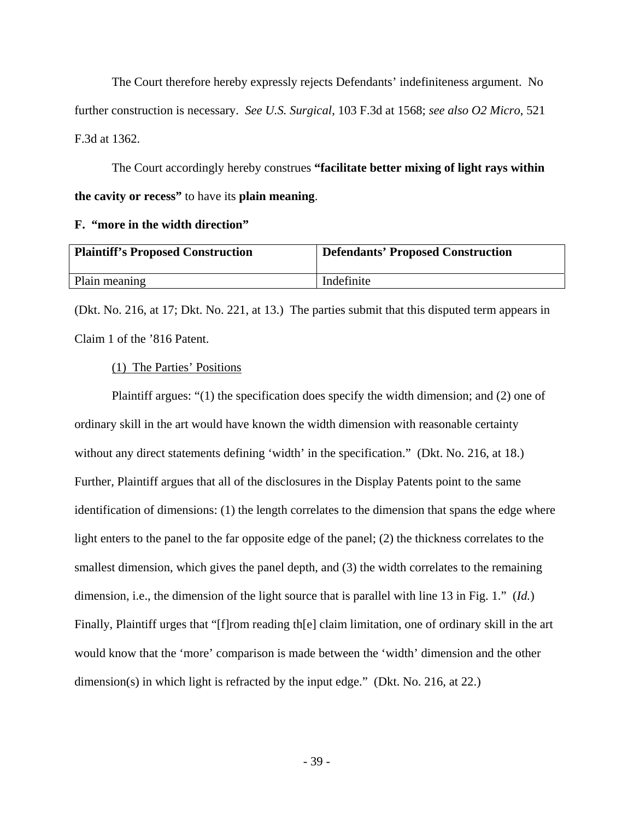The Court therefore hereby expressly rejects Defendants' indefiniteness argument. No further construction is necessary. *See U.S. Surgical*, 103 F.3d at 1568; *see also O2 Micro*, 521 F.3d at 1362.

 The Court accordingly hereby construes **"facilitate better mixing of light rays within the cavity or recess"** to have its **plain meaning**.

### **F. "more in the width direction"**

| <b>Plaintiff's Proposed Construction</b> | <b>Defendants' Proposed Construction</b> |
|------------------------------------------|------------------------------------------|
| Plain meaning                            | Indefinite                               |

(Dkt. No. 216, at 17; Dkt. No. 221, at 13.) The parties submit that this disputed term appears in Claim 1 of the '816 Patent.

### (1) The Parties' Positions

 Plaintiff argues: "(1) the specification does specify the width dimension; and (2) one of ordinary skill in the art would have known the width dimension with reasonable certainty without any direct statements defining 'width' in the specification." (Dkt. No. 216, at 18.) Further, Plaintiff argues that all of the disclosures in the Display Patents point to the same identification of dimensions: (1) the length correlates to the dimension that spans the edge where light enters to the panel to the far opposite edge of the panel; (2) the thickness correlates to the smallest dimension, which gives the panel depth, and (3) the width correlates to the remaining dimension, i.e., the dimension of the light source that is parallel with line 13 in Fig. 1." (*Id.*) Finally, Plaintiff urges that "[f]rom reading th[e] claim limitation, one of ordinary skill in the art would know that the 'more' comparison is made between the 'width' dimension and the other dimension(s) in which light is refracted by the input edge." (Dkt. No. 216, at 22.)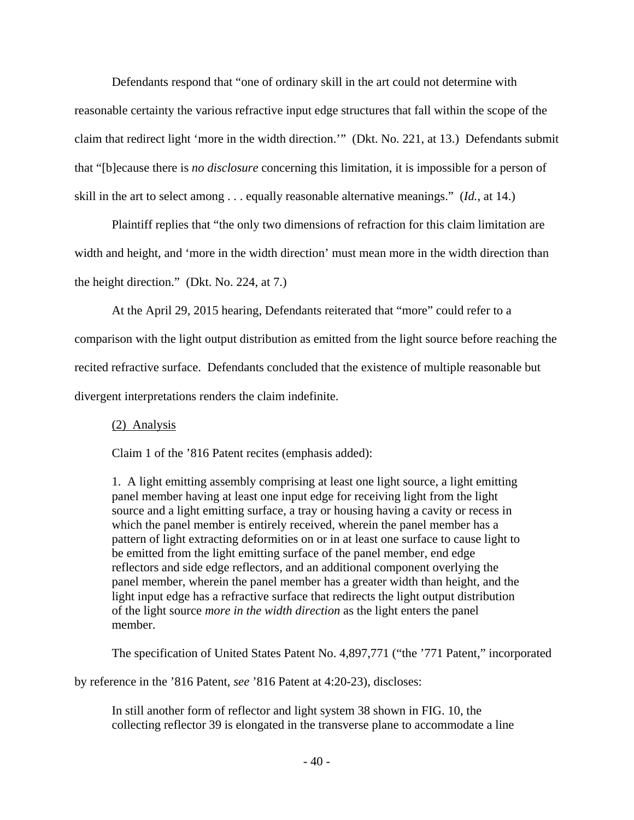Defendants respond that "one of ordinary skill in the art could not determine with reasonable certainty the various refractive input edge structures that fall within the scope of the claim that redirect light 'more in the width direction.'" (Dkt. No. 221, at 13.) Defendants submit that "[b]ecause there is *no disclosure* concerning this limitation, it is impossible for a person of skill in the art to select among . . . equally reasonable alternative meanings." (*Id.*, at 14.)

 Plaintiff replies that "the only two dimensions of refraction for this claim limitation are width and height, and 'more in the width direction' must mean more in the width direction than the height direction." (Dkt. No. 224, at 7.)

At the April 29, 2015 hearing, Defendants reiterated that "more" could refer to a

comparison with the light output distribution as emitted from the light source before reaching the recited refractive surface. Defendants concluded that the existence of multiple reasonable but divergent interpretations renders the claim indefinite.

## (2) Analysis

Claim 1 of the '816 Patent recites (emphasis added):

1. A light emitting assembly comprising at least one light source, a light emitting panel member having at least one input edge for receiving light from the light source and a light emitting surface, a tray or housing having a cavity or recess in which the panel member is entirely received, wherein the panel member has a pattern of light extracting deformities on or in at least one surface to cause light to be emitted from the light emitting surface of the panel member, end edge reflectors and side edge reflectors, and an additional component overlying the panel member, wherein the panel member has a greater width than height, and the light input edge has a refractive surface that redirects the light output distribution of the light source *more in the width direction* as the light enters the panel member.

The specification of United States Patent No. 4,897,771 ("the '771 Patent," incorporated

by reference in the '816 Patent, *see* '816 Patent at 4:20-23), discloses:

In still another form of reflector and light system 38 shown in FIG. 10, the collecting reflector 39 is elongated in the transverse plane to accommodate a line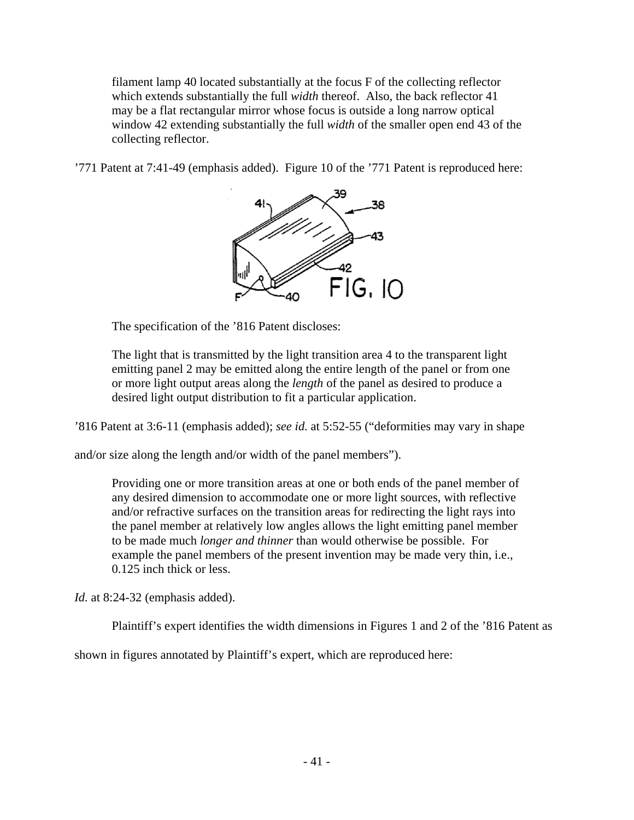filament lamp 40 located substantially at the focus F of the collecting reflector which extends substantially the full *width* thereof. Also, the back reflector 41 may be a flat rectangular mirror whose focus is outside a long narrow optical window 42 extending substantially the full *width* of the smaller open end 43 of the collecting reflector.

'771 Patent at 7:41-49 (emphasis added). Figure 10 of the '771 Patent is reproduced here:



The specification of the '816 Patent discloses:

The light that is transmitted by the light transition area 4 to the transparent light emitting panel 2 may be emitted along the entire length of the panel or from one or more light output areas along the *length* of the panel as desired to produce a desired light output distribution to fit a particular application.

'816 Patent at 3:6-11 (emphasis added); *see id.* at 5:52-55 ("deformities may vary in shape

and/or size along the length and/or width of the panel members").

Providing one or more transition areas at one or both ends of the panel member of any desired dimension to accommodate one or more light sources, with reflective and/or refractive surfaces on the transition areas for redirecting the light rays into the panel member at relatively low angles allows the light emitting panel member to be made much *longer and thinner* than would otherwise be possible. For example the panel members of the present invention may be made very thin, i.e., 0.125 inch thick or less.

*Id.* at 8:24-32 (emphasis added).

Plaintiff's expert identifies the width dimensions in Figures 1 and 2 of the '816 Patent as

shown in figures annotated by Plaintiff's expert, which are reproduced here: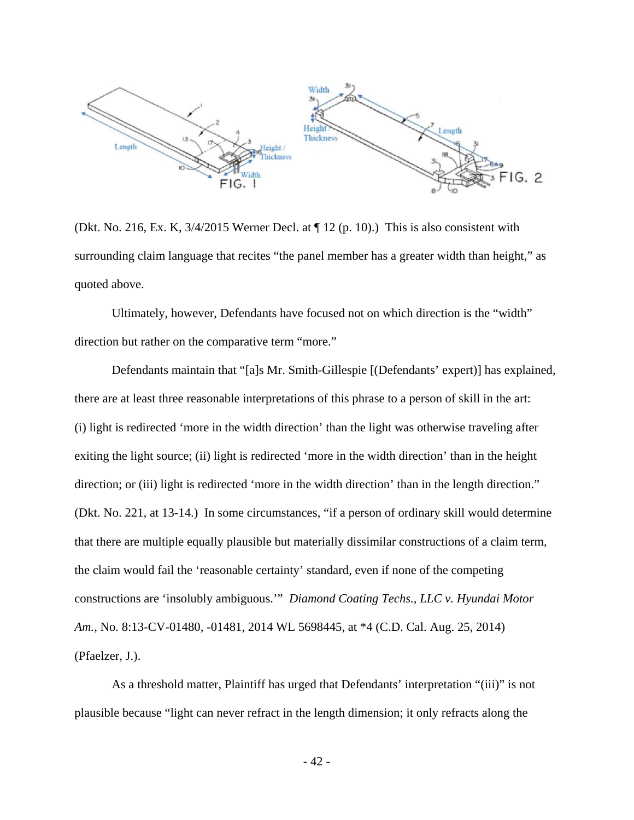

(Dkt. No. 216, Ex. K, 3/4/2015 Werner Decl. at ¶ 12 (p. 10).) This is also consistent with surrounding claim language that recites "the panel member has a greater width than height," as quoted above.

 Ultimately, however, Defendants have focused not on which direction is the "width" direction but rather on the comparative term "more."

 Defendants maintain that "[a]s Mr. Smith-Gillespie [(Defendants' expert)] has explained, there are at least three reasonable interpretations of this phrase to a person of skill in the art: (i) light is redirected 'more in the width direction' than the light was otherwise traveling after exiting the light source; (ii) light is redirected 'more in the width direction' than in the height direction; or (iii) light is redirected 'more in the width direction' than in the length direction." (Dkt. No. 221, at 13-14.) In some circumstances, "if a person of ordinary skill would determine that there are multiple equally plausible but materially dissimilar constructions of a claim term, the claim would fail the 'reasonable certainty' standard, even if none of the competing constructions are 'insolubly ambiguous.'" *Diamond Coating Techs., LLC v. Hyundai Motor Am.*, No. 8:13-CV-01480, -01481, 2014 WL 5698445, at \*4 (C.D. Cal. Aug. 25, 2014) (Pfaelzer, J.).

 As a threshold matter, Plaintiff has urged that Defendants' interpretation "(iii)" is not plausible because "light can never refract in the length dimension; it only refracts along the

- 42 -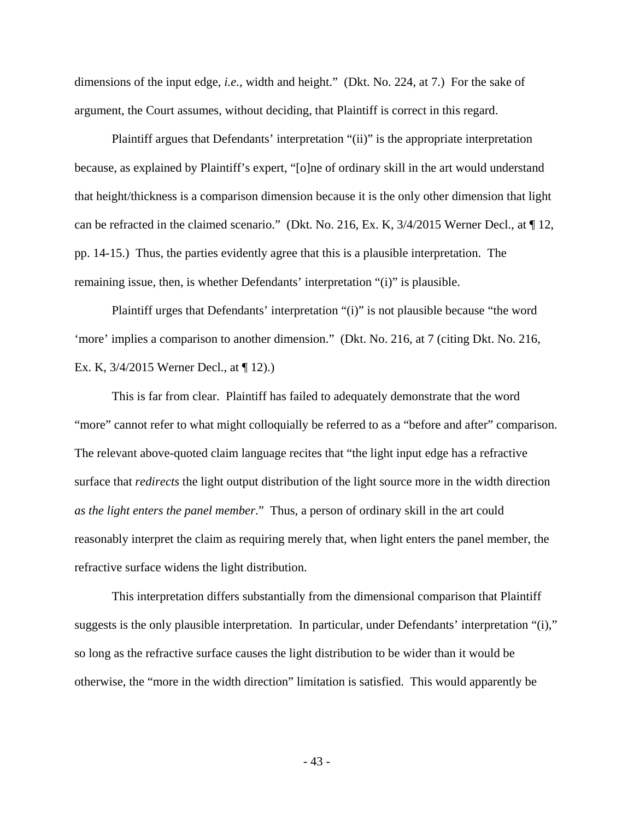dimensions of the input edge, *i.e.*, width and height." (Dkt. No. 224, at 7.) For the sake of argument, the Court assumes, without deciding, that Plaintiff is correct in this regard.

 Plaintiff argues that Defendants' interpretation "(ii)" is the appropriate interpretation because, as explained by Plaintiff's expert, "[o]ne of ordinary skill in the art would understand that height/thickness is a comparison dimension because it is the only other dimension that light can be refracted in the claimed scenario." (Dkt. No. 216, Ex. K, 3/4/2015 Werner Decl., at ¶ 12, pp. 14-15.) Thus, the parties evidently agree that this is a plausible interpretation. The remaining issue, then, is whether Defendants' interpretation "(i)" is plausible.

 Plaintiff urges that Defendants' interpretation "(i)" is not plausible because "the word 'more' implies a comparison to another dimension." (Dkt. No. 216, at 7 (citing Dkt. No. 216, Ex. K, 3/4/2015 Werner Decl., at ¶ 12).)

 This is far from clear. Plaintiff has failed to adequately demonstrate that the word "more" cannot refer to what might colloquially be referred to as a "before and after" comparison. The relevant above-quoted claim language recites that "the light input edge has a refractive surface that *redirects* the light output distribution of the light source more in the width direction *as the light enters the panel member*." Thus, a person of ordinary skill in the art could reasonably interpret the claim as requiring merely that, when light enters the panel member, the refractive surface widens the light distribution.

 This interpretation differs substantially from the dimensional comparison that Plaintiff suggests is the only plausible interpretation. In particular, under Defendants' interpretation "(i)," so long as the refractive surface causes the light distribution to be wider than it would be otherwise, the "more in the width direction" limitation is satisfied. This would apparently be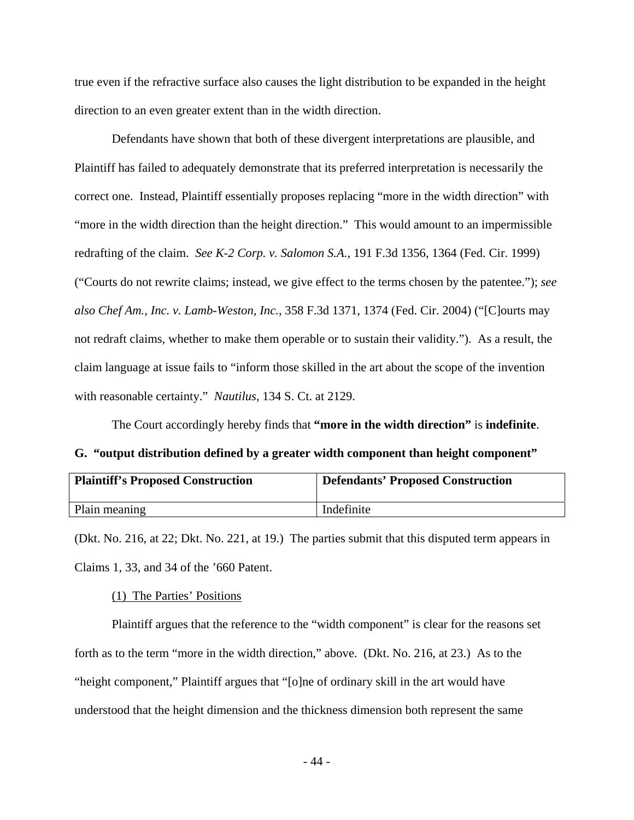true even if the refractive surface also causes the light distribution to be expanded in the height direction to an even greater extent than in the width direction.

 Defendants have shown that both of these divergent interpretations are plausible, and Plaintiff has failed to adequately demonstrate that its preferred interpretation is necessarily the correct one. Instead, Plaintiff essentially proposes replacing "more in the width direction" with "more in the width direction than the height direction." This would amount to an impermissible redrafting of the claim. *See K-2 Corp. v. Salomon S.A.*, 191 F.3d 1356, 1364 (Fed. Cir. 1999) ("Courts do not rewrite claims; instead, we give effect to the terms chosen by the patentee."); *see also Chef Am., Inc. v. Lamb-Weston, Inc.*, 358 F.3d 1371, 1374 (Fed. Cir. 2004) ("[C]ourts may not redraft claims, whether to make them operable or to sustain their validity."). As a result, the claim language at issue fails to "inform those skilled in the art about the scope of the invention with reasonable certainty." *Nautilus*, 134 S. Ct. at 2129.

The Court accordingly hereby finds that **"more in the width direction"** is **indefinite**.

**G. "output distribution defined by a greater width component than height component"** 

| <b>Plaintiff's Proposed Construction</b> | <b>Defendants' Proposed Construction</b> |
|------------------------------------------|------------------------------------------|
| Plain meaning                            | Indefinite                               |

(Dkt. No. 216, at 22; Dkt. No. 221, at 19.) The parties submit that this disputed term appears in Claims 1, 33, and 34 of the '660 Patent.

#### (1) The Parties' Positions

 Plaintiff argues that the reference to the "width component" is clear for the reasons set forth as to the term "more in the width direction," above. (Dkt. No. 216, at 23.) As to the "height component," Plaintiff argues that "[o]ne of ordinary skill in the art would have understood that the height dimension and the thickness dimension both represent the same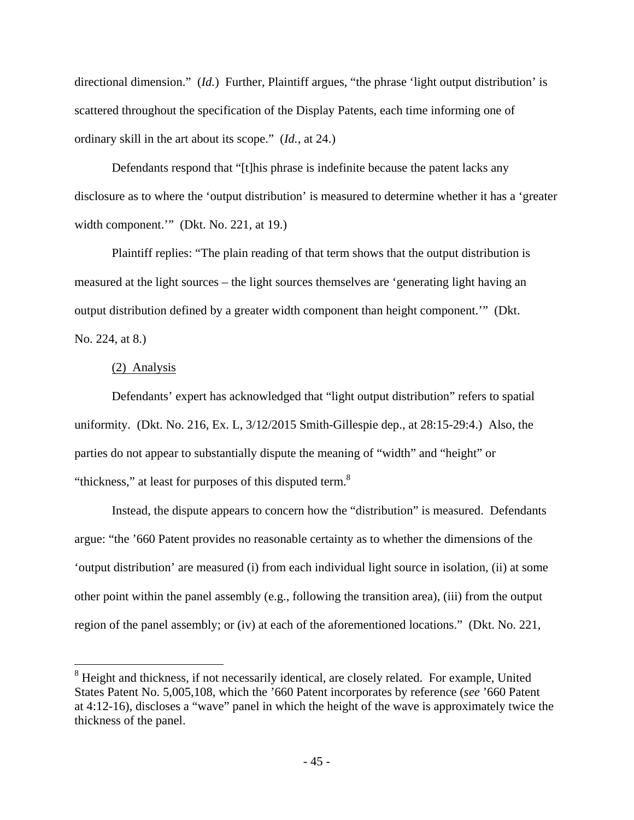directional dimension." (*Id.*) Further, Plaintiff argues, "the phrase 'light output distribution' is scattered throughout the specification of the Display Patents, each time informing one of ordinary skill in the art about its scope." (*Id.*, at 24.)

 Defendants respond that "[t]his phrase is indefinite because the patent lacks any disclosure as to where the 'output distribution' is measured to determine whether it has a 'greater width component." (Dkt. No. 221, at 19.)

 Plaintiff replies: "The plain reading of that term shows that the output distribution is measured at the light sources – the light sources themselves are 'generating light having an output distribution defined by a greater width component than height component.'" (Dkt. No. 224, at 8.)

### (2) Analysis

<u>.</u>

 Defendants' expert has acknowledged that "light output distribution" refers to spatial uniformity. (Dkt. No. 216, Ex. L, 3/12/2015 Smith-Gillespie dep., at 28:15-29:4.) Also, the parties do not appear to substantially dispute the meaning of "width" and "height" or "thickness," at least for purposes of this disputed term.<sup>8</sup>

 Instead, the dispute appears to concern how the "distribution" is measured. Defendants argue: "the '660 Patent provides no reasonable certainty as to whether the dimensions of the 'output distribution' are measured (i) from each individual light source in isolation, (ii) at some other point within the panel assembly (e.g., following the transition area), (iii) from the output region of the panel assembly; or (iv) at each of the aforementioned locations." (Dkt. No. 221,

<sup>&</sup>lt;sup>8</sup> Height and thickness, if not necessarily identical, are closely related. For example, United States Patent No. 5,005,108, which the '660 Patent incorporates by reference (*see* '660 Patent at 4:12-16), discloses a "wave" panel in which the height of the wave is approximately twice the thickness of the panel.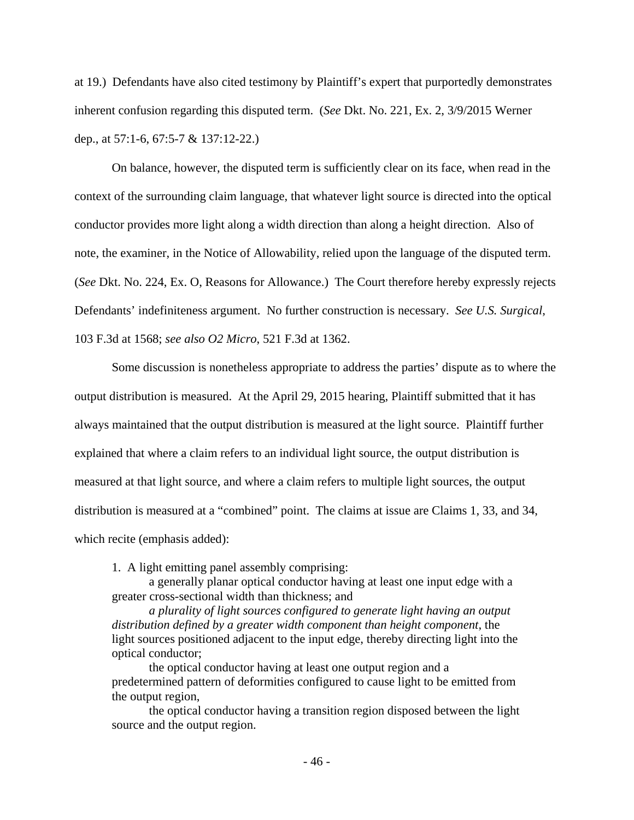at 19.) Defendants have also cited testimony by Plaintiff's expert that purportedly demonstrates inherent confusion regarding this disputed term. (*See* Dkt. No. 221, Ex. 2, 3/9/2015 Werner dep., at 57:1-6, 67:5-7 & 137:12-22.)

 On balance, however, the disputed term is sufficiently clear on its face, when read in the context of the surrounding claim language, that whatever light source is directed into the optical conductor provides more light along a width direction than along a height direction. Also of note, the examiner, in the Notice of Allowability, relied upon the language of the disputed term. (*See* Dkt. No. 224, Ex. O, Reasons for Allowance.) The Court therefore hereby expressly rejects Defendants' indefiniteness argument. No further construction is necessary. *See U.S. Surgical*, 103 F.3d at 1568; *see also O2 Micro*, 521 F.3d at 1362.

 Some discussion is nonetheless appropriate to address the parties' dispute as to where the output distribution is measured. At the April 29, 2015 hearing, Plaintiff submitted that it has always maintained that the output distribution is measured at the light source. Plaintiff further explained that where a claim refers to an individual light source, the output distribution is measured at that light source, and where a claim refers to multiple light sources, the output distribution is measured at a "combined" point. The claims at issue are Claims 1, 33, and 34, which recite (emphasis added):

1. A light emitting panel assembly comprising:

 a generally planar optical conductor having at least one input edge with a greater cross-sectional width than thickness; and

*a plurality of light sources configured to generate light having an output distribution defined by a greater width component than height component*, the light sources positioned adjacent to the input edge, thereby directing light into the optical conductor;

 the optical conductor having at least one output region and a predetermined pattern of deformities configured to cause light to be emitted from the output region,

 the optical conductor having a transition region disposed between the light source and the output region.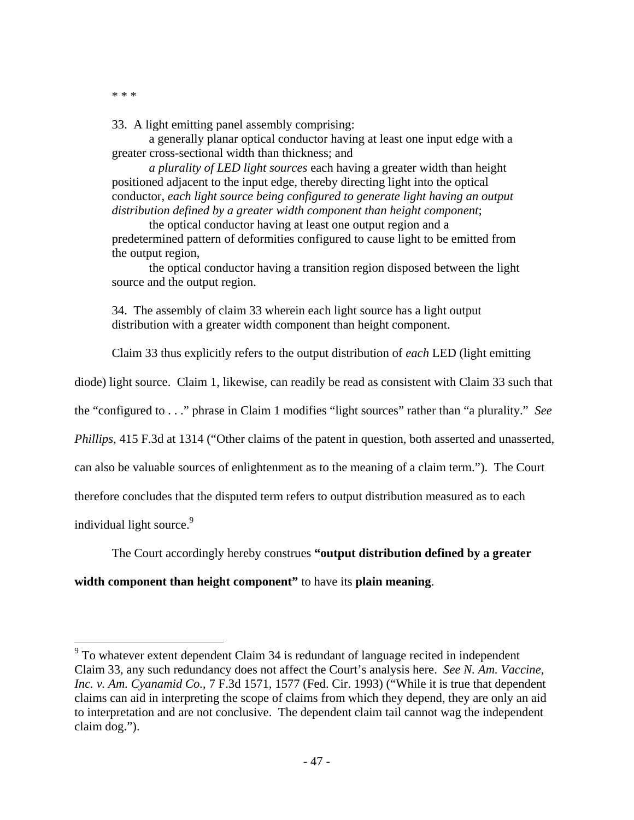\* \* \*

33. A light emitting panel assembly comprising:

 a generally planar optical conductor having at least one input edge with a greater cross-sectional width than thickness; and

*a plurality of LED light sources* each having a greater width than height positioned adjacent to the input edge, thereby directing light into the optical conductor, *each light source being configured to generate light having an output distribution defined by a greater width component than height component*;

 the optical conductor having at least one output region and a predetermined pattern of deformities configured to cause light to be emitted from the output region,

 the optical conductor having a transition region disposed between the light source and the output region.

34. The assembly of claim 33 wherein each light source has a light output distribution with a greater width component than height component.

Claim 33 thus explicitly refers to the output distribution of *each* LED (light emitting

diode) light source. Claim 1, likewise, can readily be read as consistent with Claim 33 such that

the "configured to . . ." phrase in Claim 1 modifies "light sources" rather than "a plurality." *See* 

*Phillips*, 415 F.3d at 1314 ("Other claims of the patent in question, both asserted and unasserted,

can also be valuable sources of enlightenment as to the meaning of a claim term."). The Court

therefore concludes that the disputed term refers to output distribution measured as to each

individual light source.<sup>9</sup>

 $\overline{a}$ 

The Court accordingly hereby construes **"output distribution defined by a greater** 

### **width component than height component"** to have its **plain meaning**.

 $9^9$  To whatever extent dependent Claim 34 is redundant of language recited in independent Claim 33, any such redundancy does not affect the Court's analysis here. *See N. Am. Vaccine, Inc. v. Am. Cyanamid Co.*, 7 F.3d 1571, 1577 (Fed. Cir. 1993) ("While it is true that dependent claims can aid in interpreting the scope of claims from which they depend, they are only an aid to interpretation and are not conclusive. The dependent claim tail cannot wag the independent claim dog.").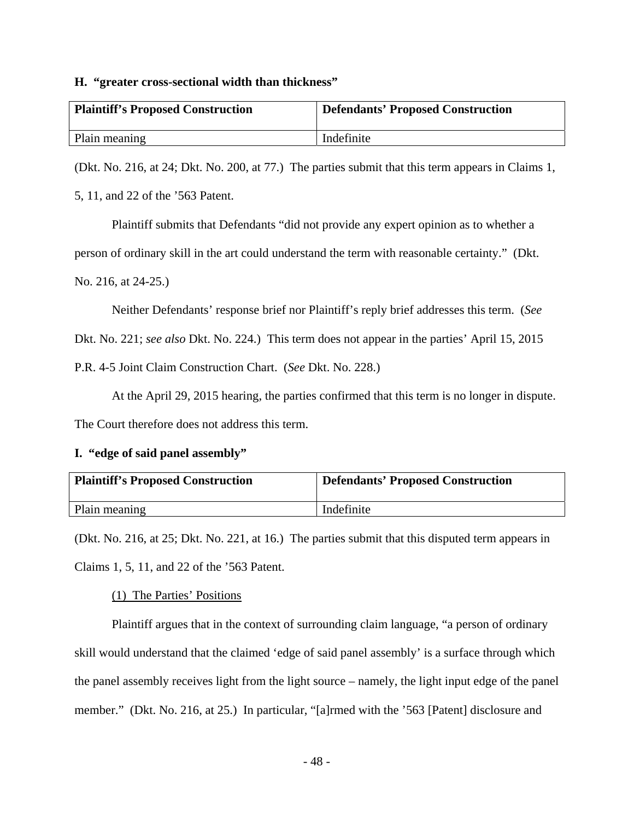### **H. "greater cross-sectional width than thickness"**

| <b>Plaintiff's Proposed Construction</b> | <b>Defendants' Proposed Construction</b> |
|------------------------------------------|------------------------------------------|
| Plain meaning                            | Indefinite                               |

(Dkt. No. 216, at 24; Dkt. No. 200, at 77.) The parties submit that this term appears in Claims 1,

5, 11, and 22 of the '563 Patent.

Plaintiff submits that Defendants "did not provide any expert opinion as to whether a

person of ordinary skill in the art could understand the term with reasonable certainty." (Dkt.

No. 216, at 24-25.)

Neither Defendants' response brief nor Plaintiff's reply brief addresses this term. (*See*

Dkt. No. 221; *see also* Dkt. No. 224.) This term does not appear in the parties' April 15, 2015

P.R. 4-5 Joint Claim Construction Chart. (*See* Dkt. No. 228.)

At the April 29, 2015 hearing, the parties confirmed that this term is no longer in dispute.

The Court therefore does not address this term.

## **I. "edge of said panel assembly"**

| <b>Plaintiff's Proposed Construction</b> | <b>Defendants' Proposed Construction</b> |
|------------------------------------------|------------------------------------------|
| Plain meaning                            | Indefinite                               |

(Dkt. No. 216, at 25; Dkt. No. 221, at 16.) The parties submit that this disputed term appears in Claims 1, 5, 11, and 22 of the '563 Patent.

## (1) The Parties' Positions

 Plaintiff argues that in the context of surrounding claim language, "a person of ordinary skill would understand that the claimed 'edge of said panel assembly' is a surface through which the panel assembly receives light from the light source – namely, the light input edge of the panel member." (Dkt. No. 216, at 25.) In particular, "[a]rmed with the '563 [Patent] disclosure and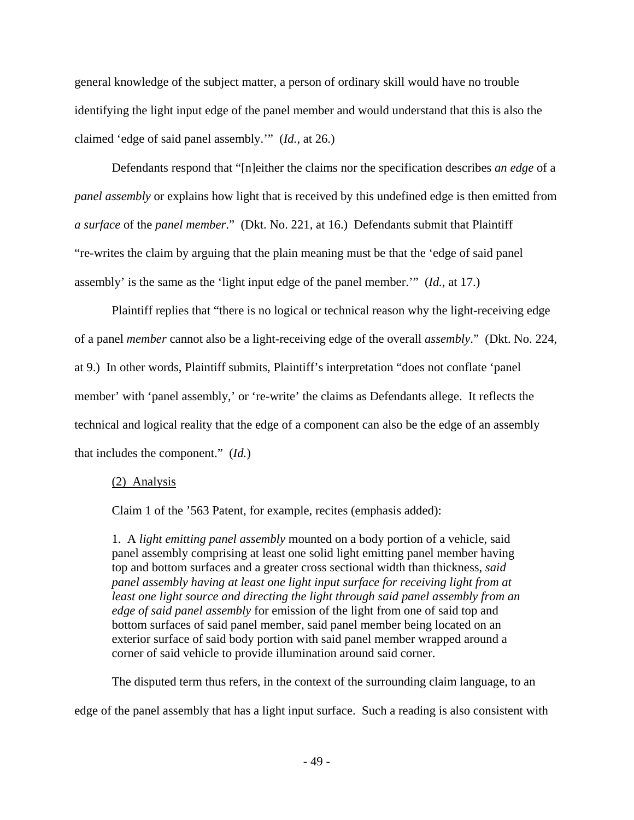general knowledge of the subject matter, a person of ordinary skill would have no trouble identifying the light input edge of the panel member and would understand that this is also the claimed 'edge of said panel assembly.'" (*Id.*, at 26.)

 Defendants respond that "[n]either the claims nor the specification describes *an edge* of a *panel assembly* or explains how light that is received by this undefined edge is then emitted from *a surface* of the *panel member*." (Dkt. No. 221, at 16.) Defendants submit that Plaintiff "re-writes the claim by arguing that the plain meaning must be that the 'edge of said panel assembly' is the same as the 'light input edge of the panel member.'" (*Id.*, at 17.)

 Plaintiff replies that "there is no logical or technical reason why the light-receiving edge of a panel *member* cannot also be a light-receiving edge of the overall *assembly*." (Dkt. No. 224, at 9.) In other words, Plaintiff submits, Plaintiff's interpretation "does not conflate 'panel member' with 'panel assembly,' or 're-write' the claims as Defendants allege. It reflects the technical and logical reality that the edge of a component can also be the edge of an assembly that includes the component." (*Id.*)

## (2) Analysis

Claim 1 of the '563 Patent, for example, recites (emphasis added):

1. A *light emitting panel assembly* mounted on a body portion of a vehicle, said panel assembly comprising at least one solid light emitting panel member having top and bottom surfaces and a greater cross sectional width than thickness, *said panel assembly having at least one light input surface for receiving light from at least one light source and directing the light through said panel assembly from an edge of said panel assembly* for emission of the light from one of said top and bottom surfaces of said panel member, said panel member being located on an exterior surface of said body portion with said panel member wrapped around a corner of said vehicle to provide illumination around said corner.

The disputed term thus refers, in the context of the surrounding claim language, to an

edge of the panel assembly that has a light input surface. Such a reading is also consistent with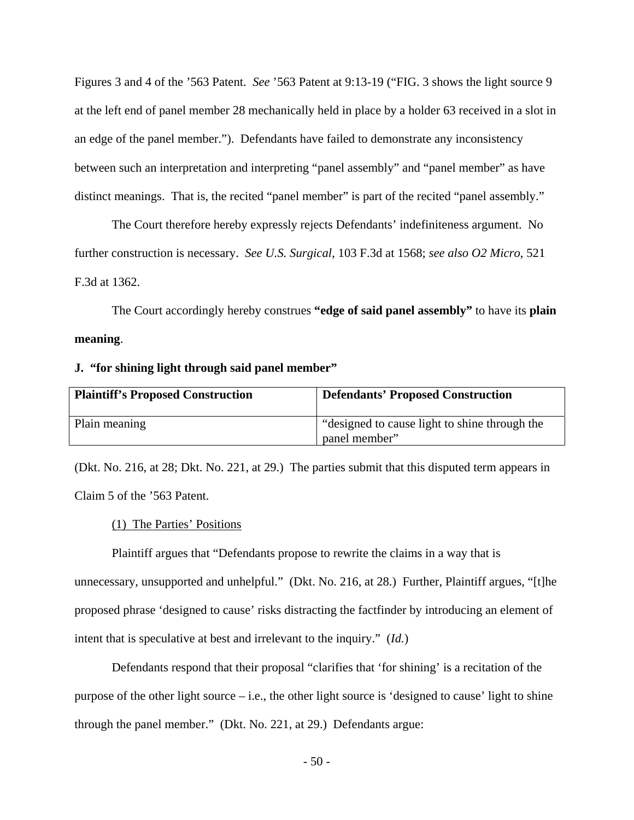Figures 3 and 4 of the '563 Patent. *See* '563 Patent at 9:13-19 ("FIG. 3 shows the light source 9 at the left end of panel member 28 mechanically held in place by a holder 63 received in a slot in an edge of the panel member."). Defendants have failed to demonstrate any inconsistency between such an interpretation and interpreting "panel assembly" and "panel member" as have distinct meanings. That is, the recited "panel member" is part of the recited "panel assembly."

 The Court therefore hereby expressly rejects Defendants' indefiniteness argument. No further construction is necessary. *See U.S. Surgical*, 103 F.3d at 1568; *see also O2 Micro*, 521 F.3d at 1362.

 The Court accordingly hereby construes **"edge of said panel assembly"** to have its **plain meaning**.

#### **J. "for shining light through said panel member"**

| <b>Plaintiff's Proposed Construction</b> | <b>Defendants' Proposed Construction</b>                       |
|------------------------------------------|----------------------------------------------------------------|
| Plain meaning                            | "designed to cause light to shine through the<br>panel member" |

(Dkt. No. 216, at 28; Dkt. No. 221, at 29.) The parties submit that this disputed term appears in Claim 5 of the '563 Patent.

### (1) The Parties' Positions

 Plaintiff argues that "Defendants propose to rewrite the claims in a way that is unnecessary, unsupported and unhelpful." (Dkt. No. 216, at 28.) Further, Plaintiff argues, "[t]he proposed phrase 'designed to cause' risks distracting the factfinder by introducing an element of intent that is speculative at best and irrelevant to the inquiry." (*Id.*)

 Defendants respond that their proposal "clarifies that 'for shining' is a recitation of the purpose of the other light source – i.e., the other light source is 'designed to cause' light to shine through the panel member." (Dkt. No. 221, at 29.) Defendants argue:

- 50 -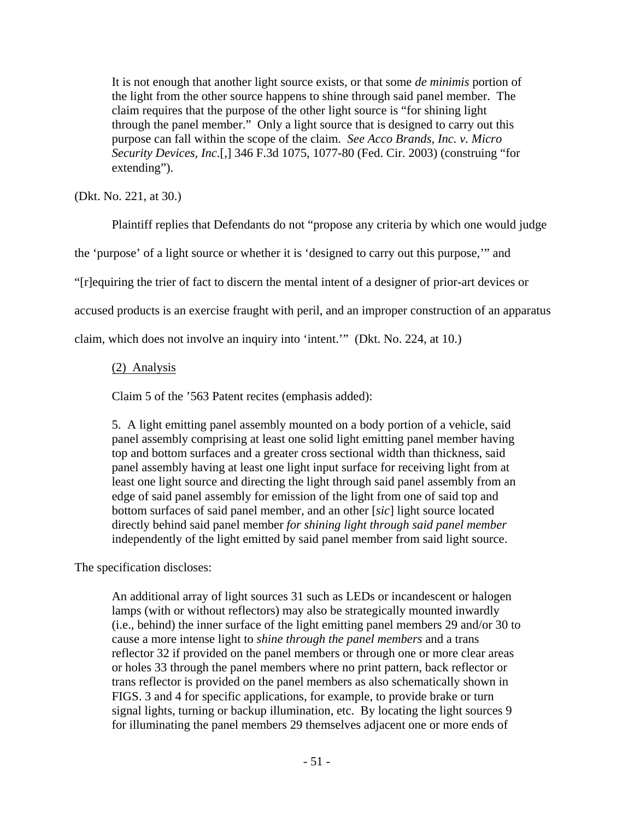It is not enough that another light source exists, or that some *de minimis* portion of the light from the other source happens to shine through said panel member. The claim requires that the purpose of the other light source is "for shining light through the panel member." Only a light source that is designed to carry out this purpose can fall within the scope of the claim. *See Acco Brands, Inc. v. Micro Security Devices, Inc.*[,] 346 F.3d 1075, 1077-80 (Fed. Cir. 2003) (construing "for extending").

(Dkt. No. 221, at 30.)

Plaintiff replies that Defendants do not "propose any criteria by which one would judge

the 'purpose' of a light source or whether it is 'designed to carry out this purpose,'" and

"[r]equiring the trier of fact to discern the mental intent of a designer of prior-art devices or

accused products is an exercise fraught with peril, and an improper construction of an apparatus

claim, which does not involve an inquiry into 'intent.'" (Dkt. No. 224, at 10.)

# (2) Analysis

Claim 5 of the '563 Patent recites (emphasis added):

5. A light emitting panel assembly mounted on a body portion of a vehicle, said panel assembly comprising at least one solid light emitting panel member having top and bottom surfaces and a greater cross sectional width than thickness, said panel assembly having at least one light input surface for receiving light from at least one light source and directing the light through said panel assembly from an edge of said panel assembly for emission of the light from one of said top and bottom surfaces of said panel member, and an other [*sic*] light source located directly behind said panel member *for shining light through said panel member* independently of the light emitted by said panel member from said light source.

The specification discloses:

An additional array of light sources 31 such as LEDs or incandescent or halogen lamps (with or without reflectors) may also be strategically mounted inwardly (i.e., behind) the inner surface of the light emitting panel members 29 and/or 30 to cause a more intense light to *shine through the panel members* and a trans reflector 32 if provided on the panel members or through one or more clear areas or holes 33 through the panel members where no print pattern, back reflector or trans reflector is provided on the panel members as also schematically shown in FIGS. 3 and 4 for specific applications, for example, to provide brake or turn signal lights, turning or backup illumination, etc. By locating the light sources 9 for illuminating the panel members 29 themselves adjacent one or more ends of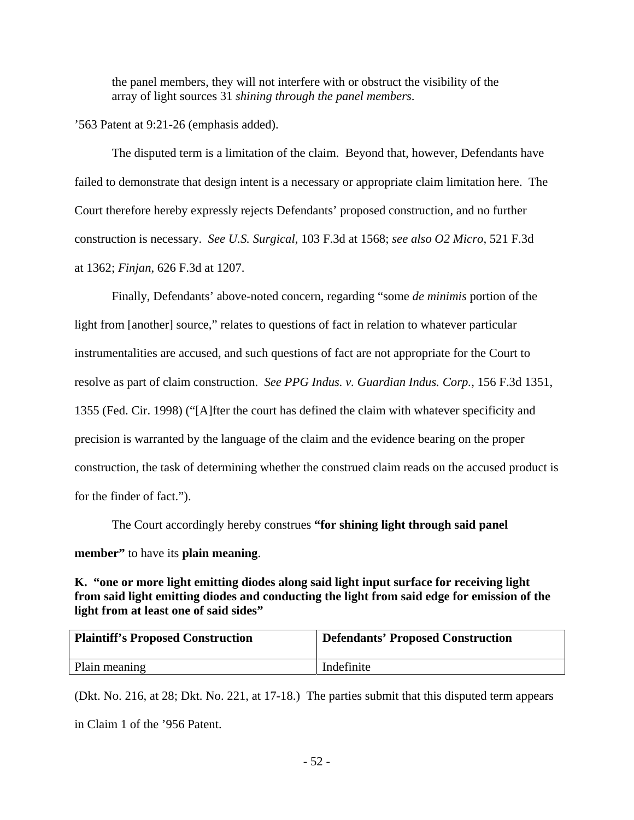the panel members, they will not interfere with or obstruct the visibility of the array of light sources 31 *shining through the panel members*.

## '563 Patent at 9:21-26 (emphasis added).

 The disputed term is a limitation of the claim. Beyond that, however, Defendants have failed to demonstrate that design intent is a necessary or appropriate claim limitation here. The Court therefore hereby expressly rejects Defendants' proposed construction, and no further construction is necessary. *See U.S. Surgical*, 103 F.3d at 1568; *see also O2 Micro*, 521 F.3d at 1362; *Finjan*, 626 F.3d at 1207.

 Finally, Defendants' above-noted concern, regarding "some *de minimis* portion of the light from [another] source," relates to questions of fact in relation to whatever particular instrumentalities are accused, and such questions of fact are not appropriate for the Court to resolve as part of claim construction. *See PPG Indus. v. Guardian Indus. Corp.*, 156 F.3d 1351, 1355 (Fed. Cir. 1998) ("[A]fter the court has defined the claim with whatever specificity and precision is warranted by the language of the claim and the evidence bearing on the proper construction, the task of determining whether the construed claim reads on the accused product is for the finder of fact.").

 The Court accordingly hereby construes **"for shining light through said panel member"** to have its **plain meaning**.

**K. "one or more light emitting diodes along said light input surface for receiving light from said light emitting diodes and conducting the light from said edge for emission of the light from at least one of said sides"** 

| <b>Plaintiff's Proposed Construction</b> | <b>Defendants' Proposed Construction</b> |
|------------------------------------------|------------------------------------------|
| Plain meaning                            | Indefinite                               |

(Dkt. No. 216, at 28; Dkt. No. 221, at 17-18.) The parties submit that this disputed term appears in Claim 1 of the '956 Patent.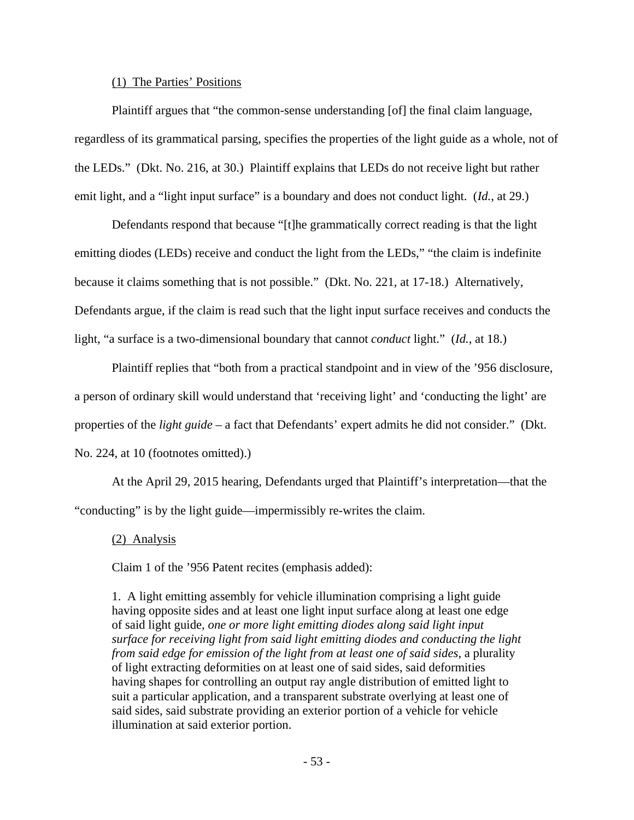### (1) The Parties' Positions

 Plaintiff argues that "the common-sense understanding [of] the final claim language, regardless of its grammatical parsing, specifies the properties of the light guide as a whole, not of the LEDs." (Dkt. No. 216, at 30.) Plaintiff explains that LEDs do not receive light but rather emit light, and a "light input surface" is a boundary and does not conduct light. (*Id.*, at 29.)

 Defendants respond that because "[t]he grammatically correct reading is that the light emitting diodes (LEDs) receive and conduct the light from the LEDs," "the claim is indefinite because it claims something that is not possible." (Dkt. No. 221, at 17-18.) Alternatively, Defendants argue, if the claim is read such that the light input surface receives and conducts the light, "a surface is a two-dimensional boundary that cannot *conduct* light." (*Id.*, at 18.)

 Plaintiff replies that "both from a practical standpoint and in view of the '956 disclosure, a person of ordinary skill would understand that 'receiving light' and 'conducting the light' are properties of the *light guide* – a fact that Defendants' expert admits he did not consider." (Dkt. No. 224, at 10 (footnotes omitted).)

 At the April 29, 2015 hearing, Defendants urged that Plaintiff's interpretation—that the "conducting" is by the light guide—impermissibly re-writes the claim.

## (2) Analysis

Claim 1 of the '956 Patent recites (emphasis added):

1. A light emitting assembly for vehicle illumination comprising a light guide having opposite sides and at least one light input surface along at least one edge of said light guide, *one or more light emitting diodes along said light input surface for receiving light from said light emitting diodes and conducting the light from said edge for emission of the light from at least one of said sides*, a plurality of light extracting deformities on at least one of said sides, said deformities having shapes for controlling an output ray angle distribution of emitted light to suit a particular application, and a transparent substrate overlying at least one of said sides, said substrate providing an exterior portion of a vehicle for vehicle illumination at said exterior portion.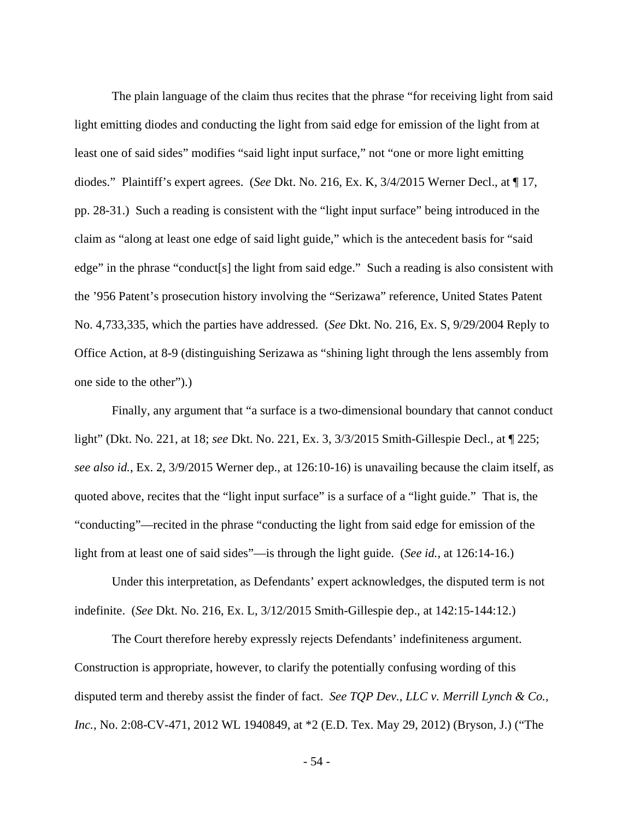The plain language of the claim thus recites that the phrase "for receiving light from said light emitting diodes and conducting the light from said edge for emission of the light from at least one of said sides" modifies "said light input surface," not "one or more light emitting diodes." Plaintiff's expert agrees. (*See* Dkt. No. 216, Ex. K, 3/4/2015 Werner Decl., at ¶ 17, pp. 28-31.) Such a reading is consistent with the "light input surface" being introduced in the claim as "along at least one edge of said light guide," which is the antecedent basis for "said edge" in the phrase "conduct[s] the light from said edge." Such a reading is also consistent with the '956 Patent's prosecution history involving the "Serizawa" reference, United States Patent No. 4,733,335, which the parties have addressed. (*See* Dkt. No. 216, Ex. S, 9/29/2004 Reply to Office Action, at 8-9 (distinguishing Serizawa as "shining light through the lens assembly from one side to the other").)

 Finally, any argument that "a surface is a two-dimensional boundary that cannot conduct light" (Dkt. No. 221, at 18; *see* Dkt. No. 221, Ex. 3, 3/3/2015 Smith-Gillespie Decl., at ¶ 225; *see also id.*, Ex. 2, 3/9/2015 Werner dep., at 126:10-16) is unavailing because the claim itself, as quoted above, recites that the "light input surface" is a surface of a "light guide." That is, the "conducting"—recited in the phrase "conducting the light from said edge for emission of the light from at least one of said sides"—is through the light guide. (*See id.*, at 126:14-16.)

 Under this interpretation, as Defendants' expert acknowledges, the disputed term is not indefinite. (*See* Dkt. No. 216, Ex. L, 3/12/2015 Smith-Gillespie dep., at 142:15-144:12.)

 The Court therefore hereby expressly rejects Defendants' indefiniteness argument. Construction is appropriate, however, to clarify the potentially confusing wording of this disputed term and thereby assist the finder of fact. *See TQP Dev., LLC v. Merrill Lynch & Co., Inc.*, No. 2:08-CV-471, 2012 WL 1940849, at \*2 (E.D. Tex. May 29, 2012) (Bryson, J.) ("The

- 54 -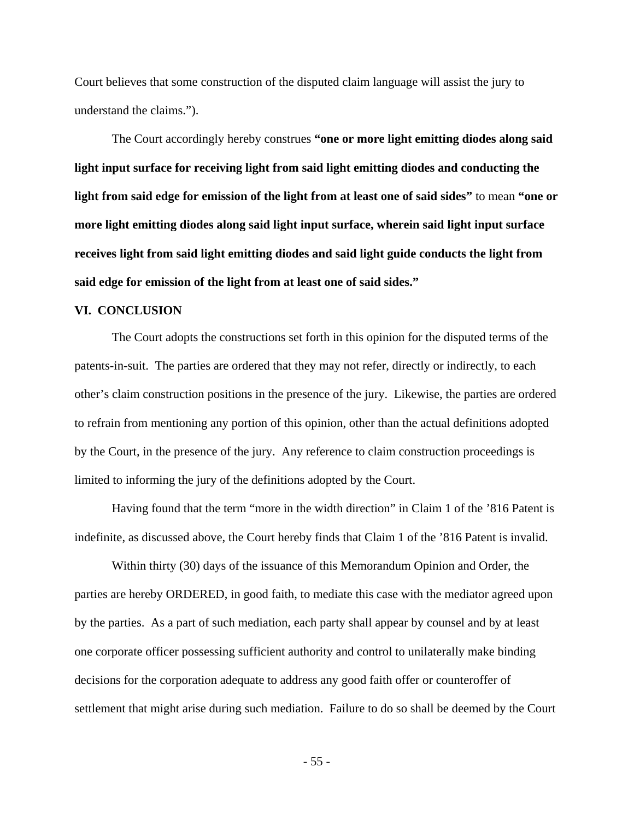Court believes that some construction of the disputed claim language will assist the jury to understand the claims.").

 The Court accordingly hereby construes **"one or more light emitting diodes along said light input surface for receiving light from said light emitting diodes and conducting the light from said edge for emission of the light from at least one of said sides"** to mean **"one or more light emitting diodes along said light input surface, wherein said light input surface receives light from said light emitting diodes and said light guide conducts the light from said edge for emission of the light from at least one of said sides."**

#### **VI. CONCLUSION**

 The Court adopts the constructions set forth in this opinion for the disputed terms of the patents-in-suit. The parties are ordered that they may not refer, directly or indirectly, to each other's claim construction positions in the presence of the jury. Likewise, the parties are ordered to refrain from mentioning any portion of this opinion, other than the actual definitions adopted by the Court, in the presence of the jury. Any reference to claim construction proceedings is limited to informing the jury of the definitions adopted by the Court.

 Having found that the term "more in the width direction" in Claim 1 of the '816 Patent is indefinite, as discussed above, the Court hereby finds that Claim 1 of the '816 Patent is invalid.

 Within thirty (30) days of the issuance of this Memorandum Opinion and Order, the parties are hereby ORDERED, in good faith, to mediate this case with the mediator agreed upon by the parties. As a part of such mediation, each party shall appear by counsel and by at least one corporate officer possessing sufficient authority and control to unilaterally make binding decisions for the corporation adequate to address any good faith offer or counteroffer of settlement that might arise during such mediation. Failure to do so shall be deemed by the Court

- 55 -